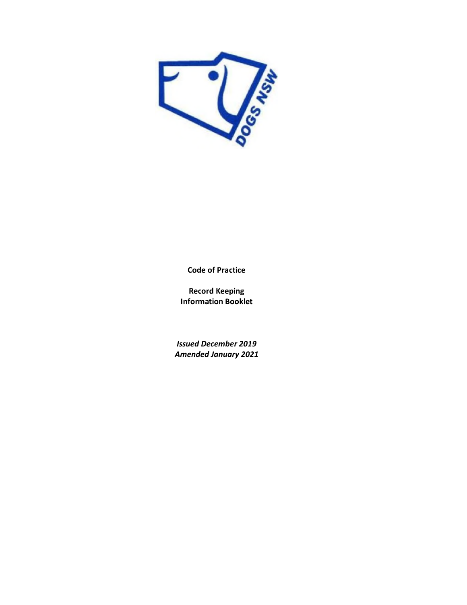

**Code of Practice**

**Record Keeping Information Booklet** 

*Issued December 2019 Amended January 2021*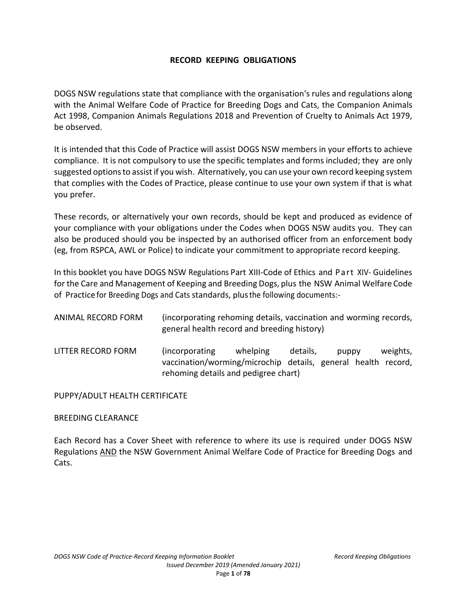### **RECORD KEEPING OBLIGATIONS**

DOGS NSW regulations state that compliance with the organisation's rules and regulations along with the Animal Welfare Code of Practice for Breeding Dogs and Cats, the Companion Animals Act 1998, Companion Animals Regulations 2018 and Prevention of Cruelty to Animals Act 1979, be observed.

It is intended that this Code of Practice will assist DOGS NSW members in your efforts to achieve compliance. It is not compulsory to use the specific templates and forms included; they are only suggested options to assist if you wish. Alternatively, you can use your own record keeping system that complies with the Codes of Practice, please continue to use your own system if that is what you prefer.

These records, or alternatively your own records, should be kept and produced as evidence of your compliance with your obligations under the Codes when DOGS NSW audits you. They can also be produced should you be inspected by an authorised officer from an enforcement body (eg, from RSPCA, AWL or Police) to indicate your commitment to appropriate record keeping.

In this booklet you have DOGS NSW Regulations Part XIII-Code of Ethics and Part XIV- Guidelines for the Care and Management of Keeping and Breeding Dogs, plus the NSW Animal Welfare Code of Practice for Breeding Dogs and Cats standards, plus the following documents:-

| ANIMAL RECORD FORM | (incorporating rehoming details, vaccination and worming records,<br>general health record and breeding history)        |          |          |       |          |
|--------------------|-------------------------------------------------------------------------------------------------------------------------|----------|----------|-------|----------|
| LITTER RECORD FORM | (incorporating<br>vaccination/worming/microchip details, general health record,<br>rehoming details and pedigree chart) | whelping | details, | puppy | weights, |

PUPPY/ADULT HEALTH CERTIFICATE

#### BREEDING CLEARANCE

Each Record has a Cover Sheet with reference to where its use is required under DOGS NSW Regulations AND the NSW Government Animal Welfare Code of Practice for Breeding Dogs and Cats.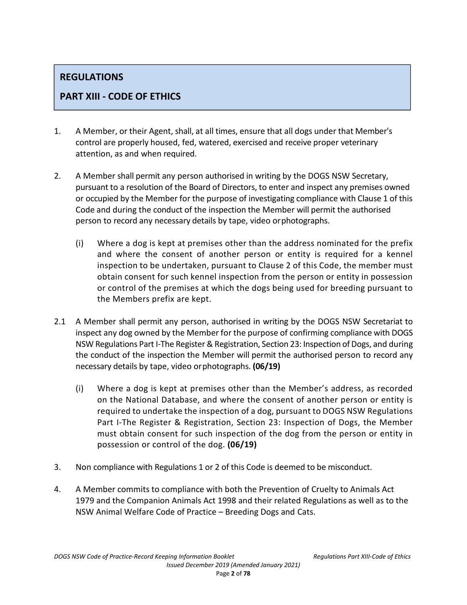# **REGULATIONS**

# **PART XIII - CODE OF ETHICS**

- 1. A Member, or their Agent, shall, at all times, ensure that all dogs under that Member's control are properly housed, fed, watered, exercised and receive proper veterinary attention, as and when required.
- 2. A Member shall permit any person authorised in writing by the DOGS NSW Secretary, pursuant to a resolution of the Board of Directors, to enter and inspect any premises owned or occupied by the Member for the purpose of investigating compliance with Clause 1 of this Code and during the conduct of the inspection the Member will permit the authorised person to record any necessary details by tape, video or photographs.
	- (i) Where a dog is kept at premises other than the address nominated for the prefix and where the consent of another person or entity is required for a kennel inspection to be undertaken, pursuant to Clause 2 of this Code, the member must obtain consent for such kennel inspection from the person or entity in possession or control of the premises at which the dogs being used for breeding pursuant to the Members prefix are kept.
- 2.1 A Member shall permit any person, authorised in writing by the DOGS NSW Secretariat to inspect any dog owned by the Member for the purpose of confirming compliance with DOGS NSW Regulations Part I-The Register & Registration, Section 23: Inspection of Dogs, and during the conduct of the inspection the Member will permit the authorised person to record any necessary details by tape, video or photographs. **(06/19)** 
	- (i) Where a dog is kept at premises other than the Member's address, as recorded on the National Database, and where the consent of another person or entity is required to undertake the inspection of a dog, pursuant to DOGS NSW Regulations Part I-The Register & Registration, Section 23: Inspection of Dogs, the Member must obtain consent for such inspection of the dog from the person or entity in possession or control of the dog. **(06/19)**
- 3. Non compliance with Regulations 1 or 2 of this Code is deemed to be misconduct.
- 4. A Member commits to compliance with both the Prevention of Cruelty to Animals Act 1979 and the Companion Animals Act 1998 and their related Regulations as well as to the NSW Animal Welfare Code of Practice – Breeding Dogs and Cats.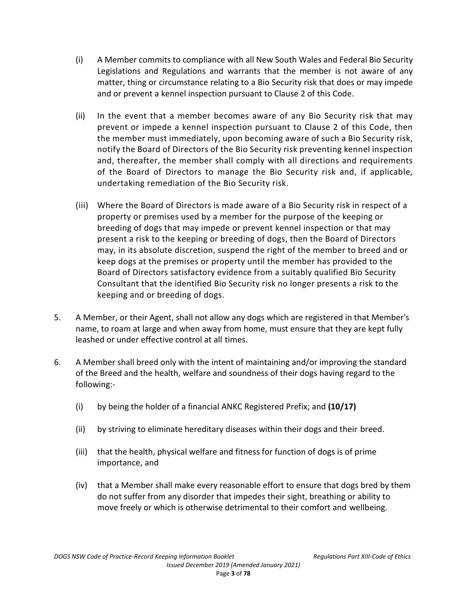- (i) A Member commits to compliance with all New South Wales and Federal Bio Security Legislations and Regulations and warrants that the member is not aware of any matter, thing or circumstance relating to a Bio Security risk that does or may impede and or prevent a kennel inspection pursuant to Clause 2 of this Code.
- (ii) In the event that a member becomes aware of any Bio Security risk that may prevent or impede a kennel inspection pursuant to Clause 2 of this Code, then the member must immediately, upon becoming aware of such a Bio Security risk, notify the Board of Directors of the Bio Security risk preventing kennel inspection and, thereafter, the member shall comply with all directions and requirements of the Board of Directors to manage the Bio Security risk and, if applicable, undertaking remediation of the Bio Security risk.
- (iii) Where the Board of Directors is made aware of a Bio Security risk in respect of a property or premises used by a member for the purpose of the keeping or breeding of dogs that may impede or prevent kennel inspection or that may present a risk to the keeping or breeding of dogs, then the Board of Directors may, in its absolute discretion, suspend the right of the member to breed and or keep dogs at the premises or property until the member has provided to the Board of Directors satisfactory evidence from a suitably qualified Bio Security Consultant that the identified Bio Security risk no longer presents a risk to the keeping and or breeding of dogs.
- 5. A Member, or their Agent, shall not allow any dogs which are registered in that Member's name, to roam at large and when away from home, must ensure that they are kept fully leashed or under effective control at all times.
- 6. A Member shall breed only with the intent of maintaining and/or improving the standard of the Breed and the health, welfare and soundness of their dogs having regard to the following:-
	- (i) by being the holder of a financial ANKC Registered Prefix; and **(10/17)**
	- (ii) by striving to eliminate hereditary diseases within their dogs and their breed.
	- (iii) that the health, physical welfare and fitness for function of dogs is of prime importance, and
	- (iv) that a Member shall make every reasonable effort to ensure that dogs bred by them do not suffer from any disorder that impedes their sight, breathing or ability to move freely or which is otherwise detrimental to their comfort and wellbeing.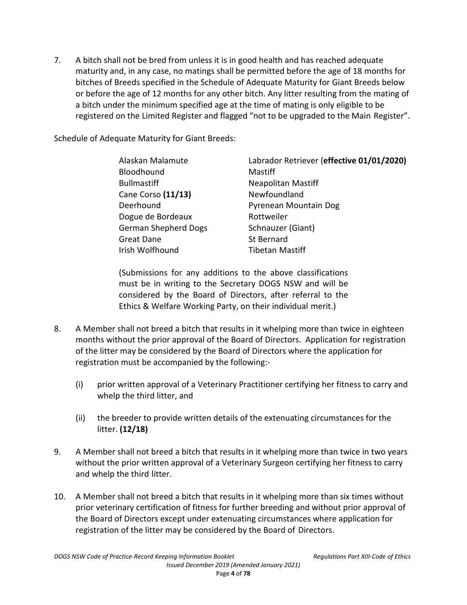7. A bitch shall not be bred from unless it is in good health and has reached adequate maturity and, in any case, no matings shall be permitted before the age of 18 months for bitches of Breeds specified in the Schedule of Adequate Maturity for Giant Breeds below or before the age of 12 months for any other bitch. Any litter resulting from the mating of a bitch under the minimum specified age at the time of mating is only eligible to be registered on the Limited Register and flagged "not to be upgraded to the Main Register".

Schedule of Adequate Maturity for Giant Breeds:

| Alaskan Malamute            | Labrador Retriever (effective 01/01/2020) |
|-----------------------------|-------------------------------------------|
| Bloodhound                  | Mastiff                                   |
| <b>Bullmastiff</b>          | <b>Neapolitan Mastiff</b>                 |
| Cane Corso (11/13)          | Newfoundland                              |
| Deerhound                   | Pyrenean Mountain Dog                     |
| Dogue de Bordeaux           | Rottweiler                                |
| <b>German Shepherd Dogs</b> | Schnauzer (Giant)                         |
| Great Dane                  | St Bernard                                |
| Irish Wolfhound             | <b>Tibetan Mastiff</b>                    |
|                             |                                           |

(Submissions for any additions to the above classifications must be in writing to the Secretary DOGS NSW and will be considered by the Board of Directors, after referral to the Ethics & Welfare Working Party, on their individual merit.)

- 8. A Member shall not breed a bitch that results in it whelping more than twice in eighteen months without the prior approval of the Board of Directors. Application for registration of the litter may be considered by the Board of Directors where the application for registration must be accompanied by the following:-
	- (i) prior written approval of a Veterinary Practitioner certifying her fitness to carry and whelp the third litter, and
	- (ii) the breeder to provide written details of the extenuating circumstances for the litter. **(12/18)**
- 9. A Member shall not breed a bitch that results in it whelping more than twice in two years without the prior written approval of a Veterinary Surgeon certifying her fitness to carry and whelp the third litter.
- 10. A Member shall not breed a bitch that results in it whelping more than six times without prior veterinary certification of fitness for further breeding and without prior approval of the Board of Directors except under extenuating circumstances where application for registration of the litter may be considered by the Board of Directors.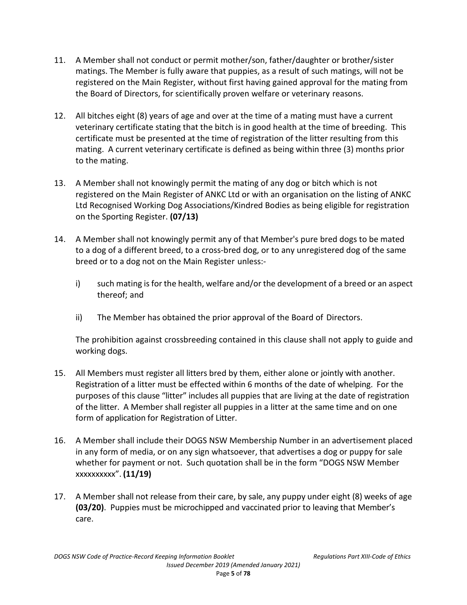- 11. A Member shall not conduct or permit mother/son, father/daughter or brother/sister matings. The Member is fully aware that puppies, as a result of such matings, will not be registered on the Main Register, without first having gained approval for the mating from the Board of Directors, for scientifically proven welfare or veterinary reasons.
- 12. All bitches eight (8) years of age and over at the time of a mating must have a current veterinary certificate stating that the bitch is in good health at the time of breeding. This certificate must be presented at the time of registration of the litter resulting from this mating. A current veterinary certificate is defined as being within three (3) months prior to the mating.
- 13. A Member shall not knowingly permit the mating of any dog or bitch which is not registered on the Main Register of ANKC Ltd or with an organisation on the listing of ANKC Ltd Recognised Working Dog Associations/Kindred Bodies as being eligible for registration on the Sporting Register. **(07/13)**
- 14. A Member shall not knowingly permit any of that Member's pure bred dogs to be mated to a dog of a different breed, to a cross-bred dog, or to any unregistered dog of the same breed or to a dog not on the Main Register unless:
	- i) such mating is for the health, welfare and/or the development of a breed or an aspect thereof; and
	- ii) The Member has obtained the prior approval of the Board of Directors.

The prohibition against crossbreeding contained in this clause shall not apply to guide and working dogs.

- 15. All Members must register all litters bred by them, either alone or jointly with another. Registration of a litter must be effected within 6 months of the date of whelping. For the purposes of this clause "litter" includes all puppies that are living at the date of registration of the litter. A Member shall register all puppies in a litter at the same time and on one form of application for Registration of Litter.
- 16. A Member shall include their DOGS NSW Membership Number in an advertisement placed in any form of media, or on any sign whatsoever, that advertises a dog or puppy for sale whether for payment or not. Such quotation shall be in the form "DOGS NSW Member xxxxxxxxxx". **(11/19)**
- 17. A Member shall not release from their care, by sale, any puppy under eight (8) weeks of age **(03/20)**. Puppies must be microchipped and vaccinated prior to leaving that Member's care.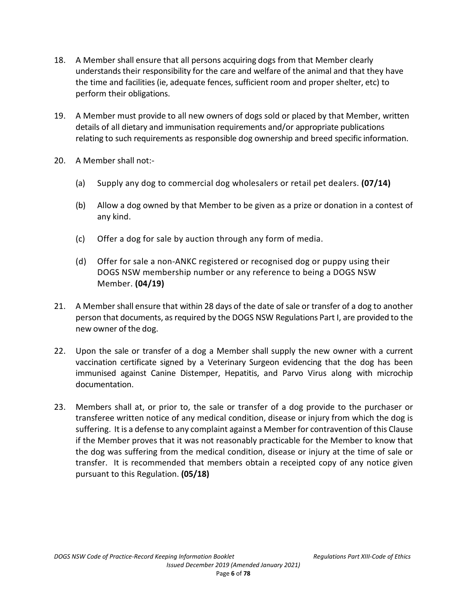- 18. A Member shall ensure that all persons acquiring dogs from that Member clearly understands their responsibility for the care and welfare of the animal and that they have the time and facilities (ie, adequate fences, sufficient room and proper shelter, etc) to perform their obligations.
- 19. A Member must provide to all new owners of dogs sold or placed by that Member, written details of all dietary and immunisation requirements and/or appropriate publications relating to such requirements as responsible dog ownership and breed specific information.
- 20. A Member shall not:-
	- (a) Supply any dog to commercial dog wholesalers or retail pet dealers. **(07/14)**
	- (b) Allow a dog owned by that Member to be given as a prize or donation in a contest of any kind.
	- (c) Offer a dog for sale by auction through any form of media.
	- (d) Offer for sale a non-ANKC registered or recognised dog or puppy using their DOGS NSW membership number or any reference to being a DOGS NSW Member. **(04/19)**
- 21. A Member shall ensure that within 28 days of the date of sale or transfer of a dog to another person that documents, as required by the DOGS NSW Regulations Part I, are provided to the new owner of the dog.
- 22. Upon the sale or transfer of a dog a Member shall supply the new owner with a current vaccination certificate signed by a Veterinary Surgeon evidencing that the dog has been immunised against Canine Distemper, Hepatitis, and Parvo Virus along with microchip documentation.
- 23. Members shall at, or prior to, the sale or transfer of a dog provide to the purchaser or transferee written notice of any medical condition, disease or injury from which the dog is suffering. It is a defense to any complaint against a Member for contravention of this Clause if the Member proves that it was not reasonably practicable for the Member to know that the dog was suffering from the medical condition, disease or injury at the time of sale or transfer. It is recommended that members obtain a receipted copy of any notice given pursuant to this Regulation. **(05/18)**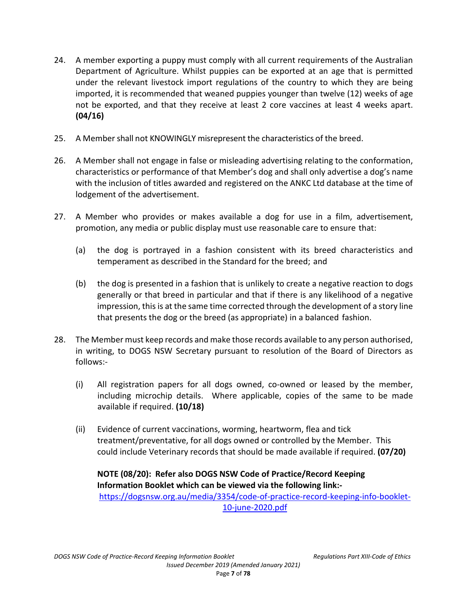- 24. A member exporting a puppy must comply with all current requirements of the Australian Department of Agriculture. Whilst puppies can be exported at an age that is permitted under the relevant livestock import regulations of the country to which they are being imported, it is recommended that weaned puppies younger than twelve (12) weeks of age not be exported, and that they receive at least 2 core vaccines at least 4 weeks apart. **(04/16)**
- 25. A Member shall not KNOWINGLY misrepresent the characteristics of the breed.
- 26. A Member shall not engage in false or misleading advertising relating to the conformation, characteristics or performance of that Member's dog and shall only advertise a dog's name with the inclusion of titles awarded and registered on the ANKC Ltd database at the time of lodgement of the advertisement.
- 27. A Member who provides or makes available a dog for use in a film, advertisement, promotion, any media or public display must use reasonable care to ensure that:
	- (a) the dog is portrayed in a fashion consistent with its breed characteristics and temperament as described in the Standard for the breed; and
	- (b) the dog is presented in a fashion that is unlikely to create a negative reaction to dogs generally or that breed in particular and that if there is any likelihood of a negative impression, this is at the same time corrected through the development of a story line that presents the dog or the breed (as appropriate) in a balanced fashion.
- 28. The Member must keep records and make those records available to any person authorised, in writing, to DOGS NSW Secretary pursuant to resolution of the Board of Directors as follows:-
	- (i) All registration papers for all dogs owned, co-owned or leased by the member, including microchip details. Where applicable, copies of the same to be made available if required. **(10/18)**
	- (ii) Evidence of current vaccinations, worming, heartworm, flea and tick treatment/preventative, for all dogs owned or controlled by the Member. This could include Veterinary records that should be made available if required. **(07/20)**

# **NOTE (08/20): Refer also DOGS NSW Code of Practice/Record Keeping Information Booklet which can be viewed via the following link:-**

https://dogsnsw.org.au/media/3354/code-of-practice-record-keeping-info-booklet-10-june-2020.pdf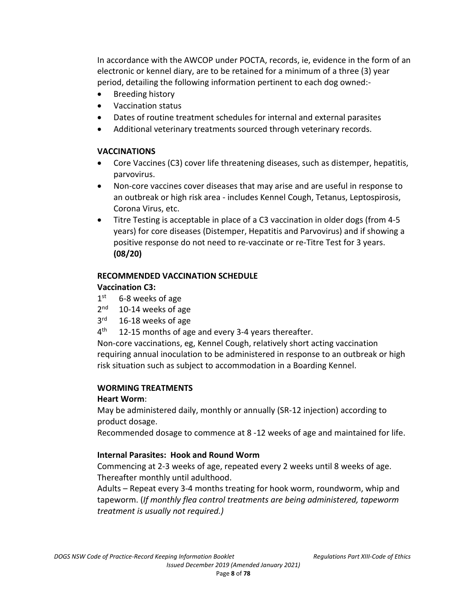In accordance with the AWCOP under POCTA, records, ie, evidence in the form of an electronic or kennel diary, are to be retained for a minimum of a three (3) year period, detailing the following information pertinent to each dog owned:-

- Breeding history
- Vaccination status
- Dates of routine treatment schedules for internal and external parasites
- Additional veterinary treatments sourced through veterinary records.

### **VACCINATIONS**

- Core Vaccines (C3) cover life threatening diseases, such as distemper, hepatitis, parvovirus.
- Non-core vaccines cover diseases that may arise and are useful in response to an outbreak or high risk area - includes Kennel Cough, Tetanus, Leptospirosis, Corona Virus, etc.
- Titre Testing is acceptable in place of a C3 vaccination in older dogs (from 4-5 years) for core diseases (Distemper, Hepatitis and Parvovirus) and if showing a positive response do not need to re-vaccinate or re-Titre Test for 3 years. **(08/20)**

# **RECOMMENDED VACCINATION SCHEDULE Vaccination C3:**

- $1<sup>st</sup>$ 6-8 weeks of age
- $2<sup>nd</sup>$ 10-14 weeks of age
- $3<sup>rd</sup>$ 16-18 weeks of age
- $4<sup>th</sup>$ 12-15 months of age and every 3-4 years thereafter.

Non-core vaccinations, eg, Kennel Cough, relatively short acting vaccination requiring annual inoculation to be administered in response to an outbreak or high risk situation such as subject to accommodation in a Boarding Kennel.

# **WORMING TREATMENTS**

# **Heart Worm**:

May be administered daily, monthly or annually (SR-12 injection) according to product dosage.

Recommended dosage to commence at 8 -12 weeks of age and maintained for life.

# **Internal Parasites: Hook and Round Worm**

Commencing at 2-3 weeks of age, repeated every 2 weeks until 8 weeks of age. Thereafter monthly until adulthood.

Adults – Repeat every 3-4 months treating for hook worm, roundworm, whip and tapeworm. (*If monthly flea control treatments are being administered, tapeworm treatment is usually not required.)*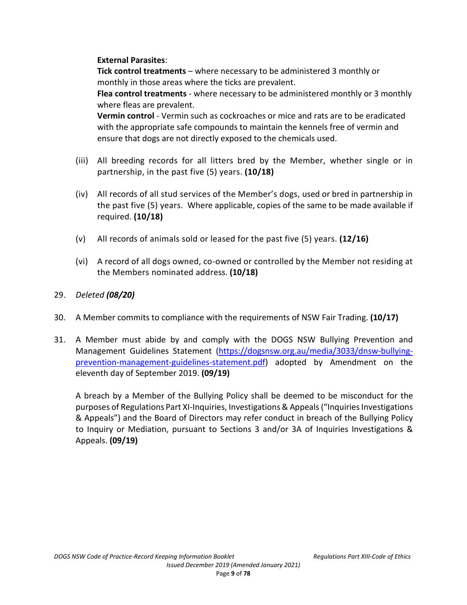# **External Parasites**:

**Tick control treatments** – where necessary to be administered 3 monthly or monthly in those areas where the ticks are prevalent.

**Flea control treatments** - where necessary to be administered monthly or 3 monthly where fleas are prevalent.

**Vermin control** - Vermin such as cockroaches or mice and rats are to be eradicated with the appropriate safe compounds to maintain the kennels free of vermin and ensure that dogs are not directly exposed to the chemicals used.

- (iii) All breeding records for all litters bred by the Member, whether single or in partnership, in the past five (5) years. **(10/18)**
- (iv) All records of all stud services of the Member's dogs, used or bred in partnership in the past five (5) years. Where applicable, copies of the same to be made available if required. **(10/18)**
- (v) All records of animals sold or leased for the past five (5) years. **(12/16)**
- (vi) A record of all dogs owned, co-owned or controlled by the Member not residing at the Members nominated address. **(10/18)**
- 29. *Deleted (08/20)*
- 30. A Member commits to compliance with the requirements of NSW Fair Trading. **(10/17)**
- 31. A Member must abide by and comply with the DOGS NSW Bullying Prevention and Management Guidelines Statement (https://dogsnsw.org.au/media/3033/dnsw-bullyingprevention-management-guidelines-statement.pdf) adopted by Amendment on the eleventh day of September 2019. **(09/19)**

A breach by a Member of the Bullying Policy shall be deemed to be misconduct for the purposes of Regulations Part XI-Inquiries, Investigations & Appeals ("Inquiries Investigations & Appeals") and the Board of Directors may refer conduct in breach of the Bullying Policy to Inquiry or Mediation, pursuant to Sections 3 and/or 3A of Inquiries Investigations & Appeals. **(09/19)**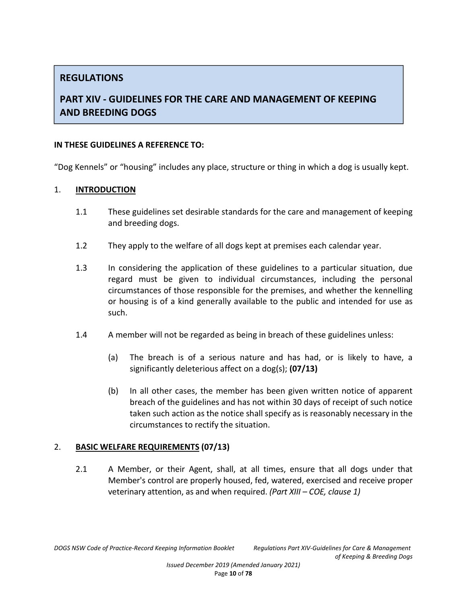# **REGULATIONS**

# **PART XIV - GUIDELINES FOR THE CARE AND MANAGEMENT OF KEEPING AND BREEDING DOGS**

#### **IN THESE GUIDELINES A REFERENCE TO:**

"Dog Kennels" or "housing" includes any place, structure or thing in which a dog is usually kept.

#### 1. **INTRODUCTION**

- 1.1 These guidelines set desirable standards for the care and management of keeping and breeding dogs.
- 1.2 They apply to the welfare of all dogs kept at premises each calendar year.
- 1.3 In considering the application of these guidelines to a particular situation, due regard must be given to individual circumstances, including the personal circumstances of those responsible for the premises, and whether the kennelling or housing is of a kind generally available to the public and intended for use as such.
- 1.4 A member will not be regarded as being in breach of these guidelines unless:
	- (a) The breach is of a serious nature and has had, or is likely to have, a significantly deleterious affect on a dog(s); **(07/13)**
	- (b) In all other cases, the member has been given written notice of apparent breach of the guidelines and has not within 30 days of receipt of such notice taken such action as the notice shall specify as is reasonably necessary in the circumstances to rectify the situation.

# 2. **BASIC WELFARE REQUIREMENTS (07/13)**

2.1 A Member, or their Agent, shall, at all times, ensure that all dogs under that Member's control are properly housed, fed, watered, exercised and receive proper veterinary attention, as and when required. *(Part XIII – COE, clause 1)*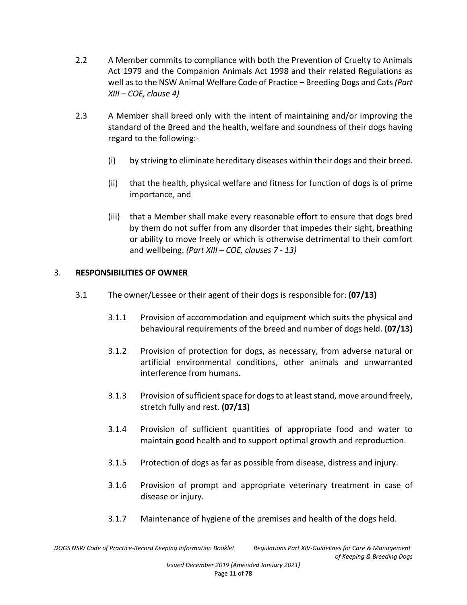- 2.2 A Member commits to compliance with both the Prevention of Cruelty to Animals Act 1979 and the Companion Animals Act 1998 and their related Regulations as well as to the NSW Animal Welfare Code of Practice – Breeding Dogs and Cats *(Part XIII – COE, clause 4)*
- 2.3 A Member shall breed only with the intent of maintaining and/or improving the standard of the Breed and the health, welfare and soundness of their dogs having regard to the following:-
	- (i) by striving to eliminate hereditary diseases within their dogs and their breed.
	- (ii) that the health, physical welfare and fitness for function of dogs is of prime importance, and
	- (iii) that a Member shall make every reasonable effort to ensure that dogs bred by them do not suffer from any disorder that impedes their sight, breathing or ability to move freely or which is otherwise detrimental to their comfort and wellbeing. *(Part XIII – COE, clauses 7 - 13)*

# 3. **RESPONSIBILITIES OF OWNER**

- 3.1 The owner/Lessee or their agent of their dogs is responsible for: **(07/13)**
	- 3.1.1 Provision of accommodation and equipment which suits the physical and behavioural requirements of the breed and number of dogs held. **(07/13)**
	- 3.1.2 Provision of protection for dogs, as necessary, from adverse natural or artificial environmental conditions, other animals and unwarranted interference from humans.
	- 3.1.3 Provision of sufficient space for dogs to at least stand, move around freely, stretch fully and rest. **(07/13)**
	- 3.1.4 Provision of sufficient quantities of appropriate food and water to maintain good health and to support optimal growth and reproduction.
	- 3.1.5 Protection of dogs as far as possible from disease, distress and injury.
	- 3.1.6 Provision of prompt and appropriate veterinary treatment in case of disease or injury.
	- 3.1.7 Maintenance of hygiene of the premises and health of the dogs held.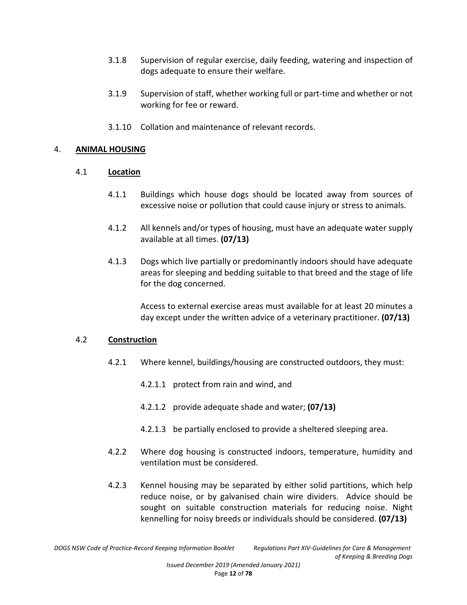- 3.1.8 Supervision of regular exercise, daily feeding, watering and inspection of dogs adequate to ensure their welfare.
- 3.1.9 Supervision of staff, whether working full or part-time and whether or not working for fee or reward.
- 3.1.10 Collation and maintenance of relevant records.

#### 4. **ANIMAL HOUSING**

#### 4.1 **Location**

- 4.1.1 Buildings which house dogs should be located away from sources of excessive noise or pollution that could cause injury or stress to animals.
- 4.1.2 All kennels and/or types of housing, must have an adequate water supply available at all times. **(07/13)**
- 4.1.3 Dogs which live partially or predominantly indoors should have adequate areas for sleeping and bedding suitable to that breed and the stage of life for the dog concerned.

Access to external exercise areas must available for at least 20 minutes a day except under the written advice of a veterinary practitioner. **(07/13)**

#### 4.2 **Construction**

- 4.2.1 Where kennel, buildings/housing are constructed outdoors, they must:
	- 4.2.1.1 protect from rain and wind, and
	- 4.2.1.2 provide adequate shade and water; **(07/13)**
	- 4.2.1.3 be partially enclosed to provide a sheltered sleeping area.
- 4.2.2 Where dog housing is constructed indoors, temperature, humidity and ventilation must be considered.
- 4.2.3 Kennel housing may be separated by either solid partitions, which help reduce noise, or by galvanised chain wire dividers. Advice should be sought on suitable construction materials for reducing noise. Night kennelling for noisy breeds or individuals should be considered. **(07/13)**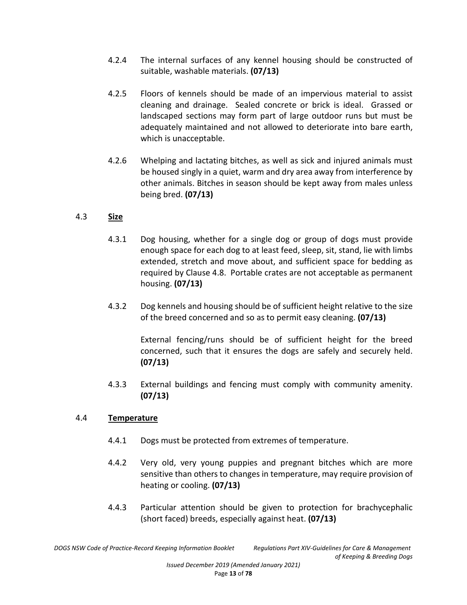- 4.2.4 The internal surfaces of any kennel housing should be constructed of suitable, washable materials. **(07/13)**
- 4.2.5 Floors of kennels should be made of an impervious material to assist cleaning and drainage. Sealed concrete or brick is ideal. Grassed or landscaped sections may form part of large outdoor runs but must be adequately maintained and not allowed to deteriorate into bare earth, which is unacceptable.
- 4.2.6 Whelping and lactating bitches, as well as sick and injured animals must be housed singly in a quiet, warm and dry area away from interference by other animals. Bitches in season should be kept away from males unless being bred. **(07/13)**

# 4.3 **Size**

- 4.3.1 Dog housing, whether for a single dog or group of dogs must provide enough space for each dog to at least feed, sleep, sit, stand, lie with limbs extended, stretch and move about, and sufficient space for bedding as required by Clause 4.8. Portable crates are not acceptable as permanent housing. **(07/13)**
- 4.3.2 Dog kennels and housing should be of sufficient height relative to the size of the breed concerned and so as to permit easy cleaning. **(07/13)**

External fencing/runs should be of sufficient height for the breed concerned, such that it ensures the dogs are safely and securely held. **(07/13)**

4.3.3 External buildings and fencing must comply with community amenity. **(07/13)**

# 4.4 **Temperature**

- 4.4.1 Dogs must be protected from extremes of temperature.
- 4.4.2 Very old, very young puppies and pregnant bitches which are more sensitive than others to changes in temperature, may require provision of heating or cooling. **(07/13)**
- 4.4.3 Particular attention should be given to protection for brachycephalic (short faced) breeds, especially against heat. **(07/13)**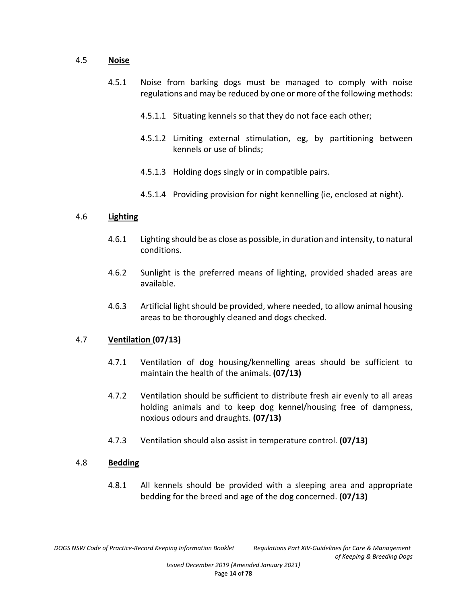#### 4.5 **Noise**

- 4.5.1 Noise from barking dogs must be managed to comply with noise regulations and may be reduced by one or more of the following methods:
	- 4.5.1.1 Situating kennels so that they do not face each other;
	- 4.5.1.2 Limiting external stimulation, eg, by partitioning between kennels or use of blinds;
	- 4.5.1.3 Holding dogs singly or in compatible pairs.
	- 4.5.1.4 Providing provision for night kennelling (ie, enclosed at night).

### 4.6 **Lighting**

- 4.6.1 Lighting should be as close as possible, in duration and intensity, to natural conditions.
- 4.6.2 Sunlight is the preferred means of lighting, provided shaded areas are available.
- 4.6.3 Artificial light should be provided, where needed, to allow animal housing areas to be thoroughly cleaned and dogs checked.

# 4.7 **Ventilation (07/13)**

- 4.7.1 Ventilation of dog housing/kennelling areas should be sufficient to maintain the health of the animals. **(07/13)**
- 4.7.2 Ventilation should be sufficient to distribute fresh air evenly to all areas holding animals and to keep dog kennel/housing free of dampness, noxious odours and draughts. **(07/13)**
- 4.7.3 Ventilation should also assist in temperature control. **(07/13)**

#### 4.8 **Bedding**

4.8.1 All kennels should be provided with a sleeping area and appropriate bedding for the breed and age of the dog concerned. **(07/13)**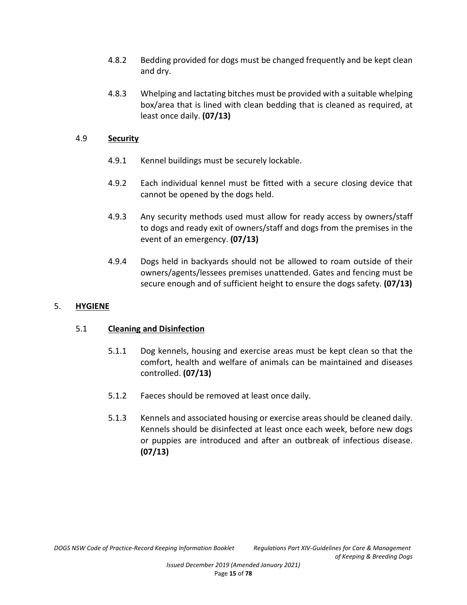- 4.8.2 Bedding provided for dogs must be changed frequently and be kept clean and dry.
- 4.8.3 Whelping and lactating bitches must be provided with a suitable whelping box/area that is lined with clean bedding that is cleaned as required, at least once daily. **(07/13)**

### 4.9 **Security**

- 4.9.1 Kennel buildings must be securely lockable.
- 4.9.2 Each individual kennel must be fitted with a secure closing device that cannot be opened by the dogs held.
- 4.9.3 Any security methods used must allow for ready access by owners/staff to dogs and ready exit of owners/staff and dogs from the premises in the event of an emergency. **(07/13)**
- 4.9.4 Dogs held in backyards should not be allowed to roam outside of their owners/agents/lessees premises unattended. Gates and fencing must be secure enough and of sufficient height to ensure the dogs safety. **(07/13)**

# 5. **HYGIENE**

# 5.1 **Cleaning and Disinfection**

- 5.1.1 Dog kennels, housing and exercise areas must be kept clean so that the comfort, health and welfare of animals can be maintained and diseases controlled. **(07/13)**
- 5.1.2 Faeces should be removed at least once daily.
- 5.1.3 Kennels and associated housing or exercise areas should be cleaned daily. Kennels should be disinfected at least once each week, before new dogs or puppies are introduced and after an outbreak of infectious disease. **(07/13)**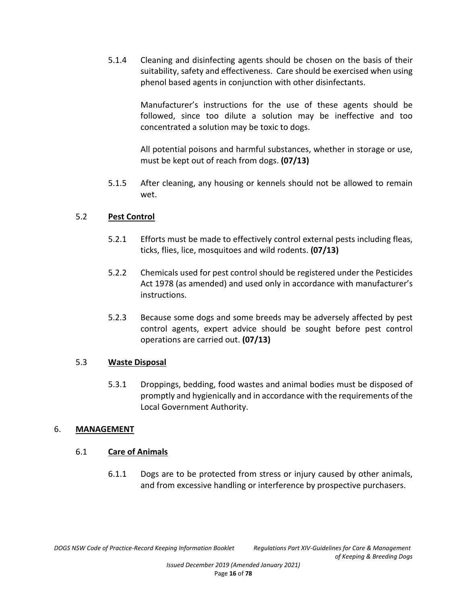5.1.4 Cleaning and disinfecting agents should be chosen on the basis of their suitability, safety and effectiveness. Care should be exercised when using phenol based agents in conjunction with other disinfectants.

> Manufacturer's instructions for the use of these agents should be followed, since too dilute a solution may be ineffective and too concentrated a solution may be toxic to dogs.

> All potential poisons and harmful substances, whether in storage or use, must be kept out of reach from dogs. **(07/13)**

5.1.5 After cleaning, any housing or kennels should not be allowed to remain wet.

# 5.2 **Pest Control**

- 5.2.1 Efforts must be made to effectively control external pests including fleas, ticks, flies, lice, mosquitoes and wild rodents. **(07/13)**
- 5.2.2 Chemicals used for pest control should be registered under the Pesticides Act 1978 (as amended) and used only in accordance with manufacturer's instructions.
- 5.2.3 Because some dogs and some breeds may be adversely affected by pest control agents, expert advice should be sought before pest control operations are carried out. **(07/13)**

# 5.3 **Waste Disposal**

5.3.1 Droppings, bedding, food wastes and animal bodies must be disposed of promptly and hygienically and in accordance with the requirements of the Local Government Authority.

# 6. **MANAGEMENT**

# 6.1 **Care of Animals**

6.1.1 Dogs are to be protected from stress or injury caused by other animals, and from excessive handling or interference by prospective purchasers.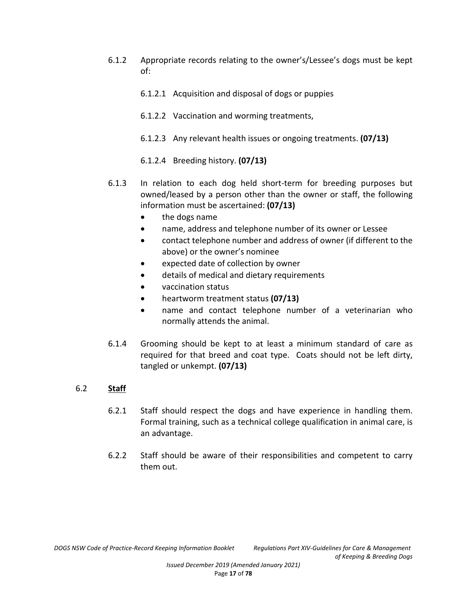- 6.1.2 Appropriate records relating to the owner's/Lessee's dogs must be kept of:
	- 6.1.2.1 Acquisition and disposal of dogs or puppies
	- 6.1.2.2 Vaccination and worming treatments,
	- 6.1.2.3 Any relevant health issues or ongoing treatments. **(07/13)**
	- 6.1.2.4 Breeding history. **(07/13)**
- 6.1.3 In relation to each dog held short-term for breeding purposes but owned/leased by a person other than the owner or staff, the following information must be ascertained: **(07/13)**
	- the dogs name
	- name, address and telephone number of its owner or Lessee
	- contact telephone number and address of owner (if different to the above) or the owner's nominee
	- expected date of collection by owner
	- details of medical and dietary requirements
	- vaccination status
	- heartworm treatment status **(07/13)**
	- name and contact telephone number of a veterinarian who normally attends the animal.
- 6.1.4 Grooming should be kept to at least a minimum standard of care as required for that breed and coat type. Coats should not be left dirty, tangled or unkempt. **(07/13)**

# 6.2 **Staff**

- 6.2.1 Staff should respect the dogs and have experience in handling them. Formal training, such as a technical college qualification in animal care, is an advantage.
- 6.2.2 Staff should be aware of their responsibilities and competent to carry them out.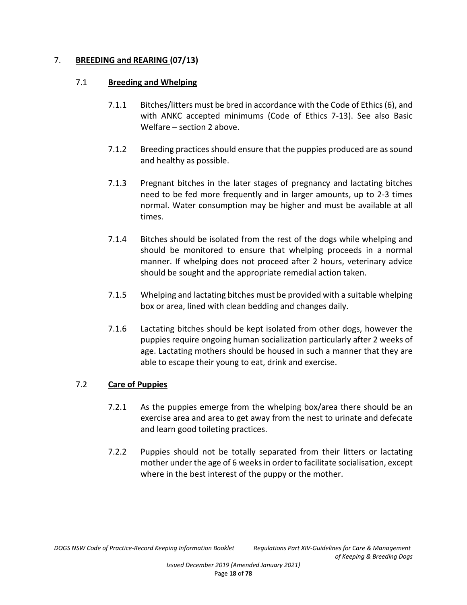### 7. **BREEDING and REARING (07/13)**

#### 7.1 **Breeding and Whelping**

- 7.1.1 Bitches/litters must be bred in accordance with the Code of Ethics (6), and with ANKC accepted minimums (Code of Ethics 7-13). See also Basic Welfare – section 2 above.
- 7.1.2 Breeding practices should ensure that the puppies produced are as sound and healthy as possible.
- 7.1.3 Pregnant bitches in the later stages of pregnancy and lactating bitches need to be fed more frequently and in larger amounts, up to 2-3 times normal. Water consumption may be higher and must be available at all times.
- 7.1.4 Bitches should be isolated from the rest of the dogs while whelping and should be monitored to ensure that whelping proceeds in a normal manner. If whelping does not proceed after 2 hours, veterinary advice should be sought and the appropriate remedial action taken.
- 7.1.5 Whelping and lactating bitches must be provided with a suitable whelping box or area, lined with clean bedding and changes daily.
- 7.1.6 Lactating bitches should be kept isolated from other dogs, however the puppies require ongoing human socialization particularly after 2 weeks of age. Lactating mothers should be housed in such a manner that they are able to escape their young to eat, drink and exercise.

# 7.2 **Care of Puppies**

- 7.2.1 As the puppies emerge from the whelping box/area there should be an exercise area and area to get away from the nest to urinate and defecate and learn good toileting practices.
- 7.2.2 Puppies should not be totally separated from their litters or lactating mother under the age of 6 weeks in order to facilitate socialisation, except where in the best interest of the puppy or the mother.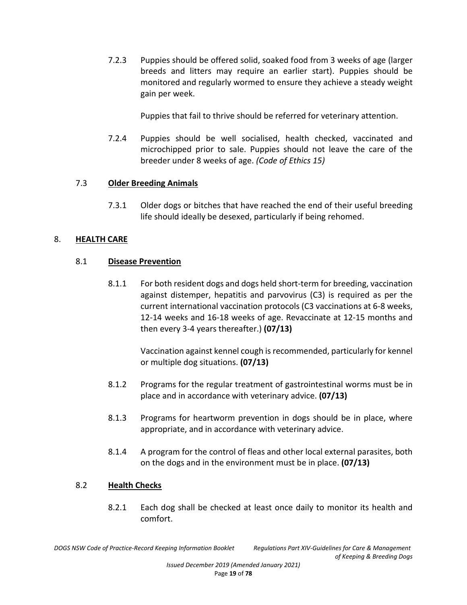7.2.3 Puppies should be offered solid, soaked food from 3 weeks of age (larger breeds and litters may require an earlier start). Puppies should be monitored and regularly wormed to ensure they achieve a steady weight gain per week.

Puppies that fail to thrive should be referred for veterinary attention.

7.2.4 Puppies should be well socialised, health checked, vaccinated and microchipped prior to sale. Puppies should not leave the care of the breeder under 8 weeks of age. *(Code of Ethics 15)*

# 7.3 **Older Breeding Animals**

7.3.1 Older dogs or bitches that have reached the end of their useful breeding life should ideally be desexed, particularly if being rehomed.

# 8. **HEALTH CARE**

# 8.1 **Disease Prevention**

8.1.1 For both resident dogs and dogs held short-term for breeding, vaccination against distemper, hepatitis and parvovirus (C3) is required as per the current international vaccination protocols (C3 vaccinations at 6-8 weeks, 12-14 weeks and 16-18 weeks of age. Revaccinate at 12-15 months and then every 3-4 years thereafter.) **(07/13)**

> Vaccination against kennel cough is recommended, particularly for kennel or multiple dog situations. **(07/13)**

- 8.1.2 Programs for the regular treatment of gastrointestinal worms must be in place and in accordance with veterinary advice. **(07/13)**
- 8.1.3 Programs for heartworm prevention in dogs should be in place, where appropriate, and in accordance with veterinary advice.
- 8.1.4 A program for the control of fleas and other local external parasites, both on the dogs and in the environment must be in place. **(07/13)**

# 8.2 **Health Checks**

8.2.1 Each dog shall be checked at least once daily to monitor its health and comfort.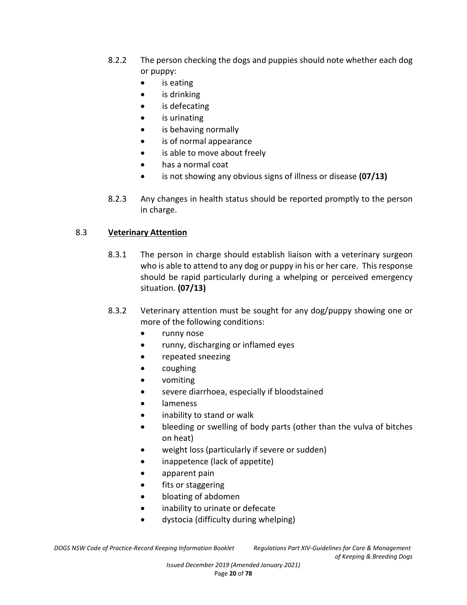- 8.2.2 The person checking the dogs and puppies should note whether each dog or puppy:
	- is eating
	- is drinking
	- is defecating
	- is urinating
	- is behaving normally
	- is of normal appearance
	- is able to move about freely
	- has a normal coat
	- is not showing any obvious signs of illness or disease **(07/13)**
- 8.2.3 Any changes in health status should be reported promptly to the person in charge.

# 8.3 **Veterinary Attention**

- 8.3.1 The person in charge should establish liaison with a veterinary surgeon who is able to attend to any dog or puppy in his or her care. This response should be rapid particularly during a whelping or perceived emergency situation. **(07/13)**
- 8.3.2 Veterinary attention must be sought for any dog/puppy showing one or more of the following conditions:
	- runny nose
	- runny, discharging or inflamed eyes
	- repeated sneezing
	- coughing
	- vomiting
	- severe diarrhoea, especially if bloodstained
	- lameness
	- inability to stand or walk
	- bleeding or swelling of body parts (other than the vulva of bitches on heat)
	- weight loss (particularly if severe or sudden)
	- inappetence (lack of appetite)
	- apparent pain
	- fits or staggering
	- bloating of abdomen
	- inability to urinate or defecate
	- dystocia (difficulty during whelping)

*of Keeping & Breeding Dogs*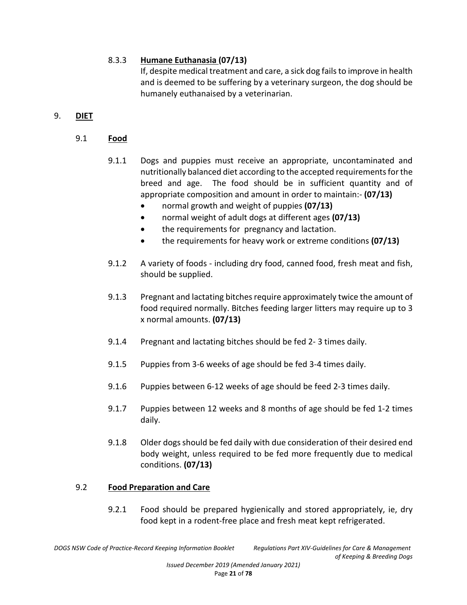# 8.3.3 **Humane Euthanasia (07/13)**

If, despite medical treatment and care, a sick dog fails to improve in health and is deemed to be suffering by a veterinary surgeon, the dog should be humanely euthanaised by a veterinarian.

# 9. **DIET**

- 9.1 **Food**
	- 9.1.1 Dogs and puppies must receive an appropriate, uncontaminated and nutritionally balanced diet according to the accepted requirements for the breed and age. The food should be in sufficient quantity and of appropriate composition and amount in order to maintain:- **(07/13)** 
		- normal growth and weight of puppies **(07/13)**
		- normal weight of adult dogs at different ages **(07/13)**
		- the requirements for pregnancy and lactation.
		- the requirements for heavy work or extreme conditions **(07/13)**
	- 9.1.2 A variety of foods including dry food, canned food, fresh meat and fish, should be supplied.
	- 9.1.3 Pregnant and lactating bitches require approximately twice the amount of food required normally. Bitches feeding larger litters may require up to 3 x normal amounts. **(07/13)**
	- 9.1.4 Pregnant and lactating bitches should be fed 2- 3 times daily.
	- 9.1.5 Puppies from 3-6 weeks of age should be fed 3-4 times daily.
	- 9.1.6 Puppies between 6-12 weeks of age should be feed 2-3 times daily.
	- 9.1.7 Puppies between 12 weeks and 8 months of age should be fed 1-2 times daily.
	- 9.1.8 Older dogs should be fed daily with due consideration of their desired end body weight, unless required to be fed more frequently due to medical conditions. **(07/13)**

# 9.2 **Food Preparation and Care**

9.2.1 Food should be prepared hygienically and stored appropriately, ie, dry food kept in a rodent-free place and fresh meat kept refrigerated.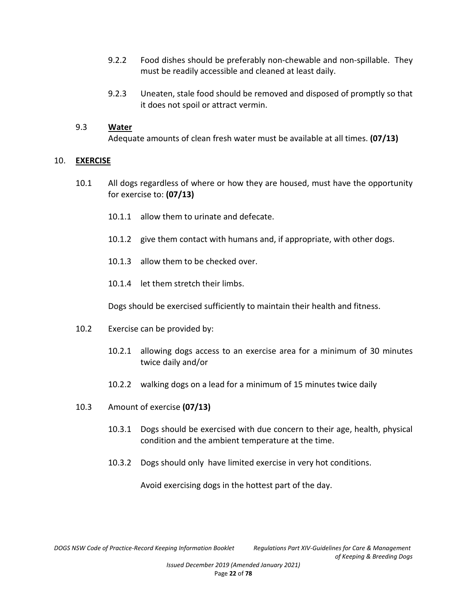- 9.2.2 Food dishes should be preferably non-chewable and non-spillable. They must be readily accessible and cleaned at least daily.
- 9.2.3 Uneaten, stale food should be removed and disposed of promptly so that it does not spoil or attract vermin.

#### 9.3 **Water**

Adequate amounts of clean fresh water must be available at all times. **(07/13)**

#### 10. **EXERCISE**

- 10.1 All dogs regardless of where or how they are housed, must have the opportunity for exercise to: **(07/13)**
	- 10.1.1 allow them to urinate and defecate.
	- 10.1.2 give them contact with humans and, if appropriate, with other dogs.
	- 10.1.3 allow them to be checked over.
	- 10.1.4 let them stretch their limbs.

Dogs should be exercised sufficiently to maintain their health and fitness.

- 10.2 Exercise can be provided by:
	- 10.2.1 allowing dogs access to an exercise area for a minimum of 30 minutes twice daily and/or
	- 10.2.2 walking dogs on a lead for a minimum of 15 minutes twice daily
- 10.3 Amount of exercise **(07/13)**
	- 10.3.1 Dogs should be exercised with due concern to their age, health, physical condition and the ambient temperature at the time.
	- 10.3.2 Dogs should only have limited exercise in very hot conditions.

Avoid exercising dogs in the hottest part of the day.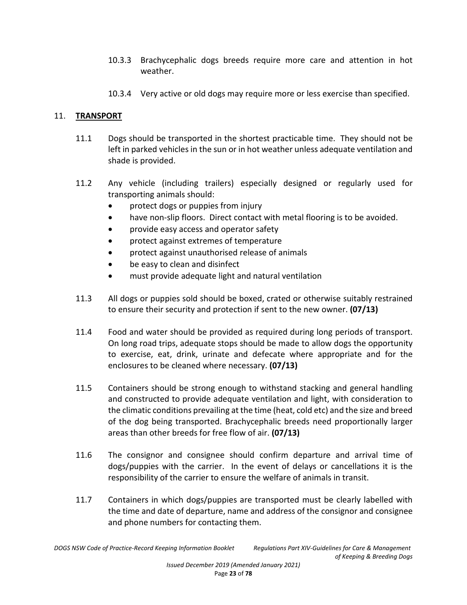- 10.3.3 Brachycephalic dogs breeds require more care and attention in hot weather.
- 10.3.4 Very active or old dogs may require more or less exercise than specified.

### 11. **TRANSPORT**

- 11.1 Dogs should be transported in the shortest practicable time. They should not be left in parked vehicles in the sun or in hot weather unless adequate ventilation and shade is provided.
- 11.2 Any vehicle (including trailers) especially designed or regularly used for transporting animals should:
	- protect dogs or puppies from injury
	- have non-slip floors. Direct contact with metal flooring is to be avoided.
	- provide easy access and operator safety
	- protect against extremes of temperature
	- protect against unauthorised release of animals
	- be easy to clean and disinfect
	- must provide adequate light and natural ventilation
- 11.3 All dogs or puppies sold should be boxed, crated or otherwise suitably restrained to ensure their security and protection if sent to the new owner. **(07/13)**
- 11.4 Food and water should be provided as required during long periods of transport. On long road trips, adequate stops should be made to allow dogs the opportunity to exercise, eat, drink, urinate and defecate where appropriate and for the enclosures to be cleaned where necessary. **(07/13)**
- 11.5 Containers should be strong enough to withstand stacking and general handling and constructed to provide adequate ventilation and light, with consideration to the climatic conditions prevailing at the time (heat, cold etc) and the size and breed of the dog being transported. Brachycephalic breeds need proportionally larger areas than other breeds for free flow of air. **(07/13)**
- 11.6 The consignor and consignee should confirm departure and arrival time of dogs/puppies with the carrier. In the event of delays or cancellations it is the responsibility of the carrier to ensure the welfare of animals in transit.
- 11.7 Containers in which dogs/puppies are transported must be clearly labelled with the time and date of departure, name and address of the consignor and consignee and phone numbers for contacting them.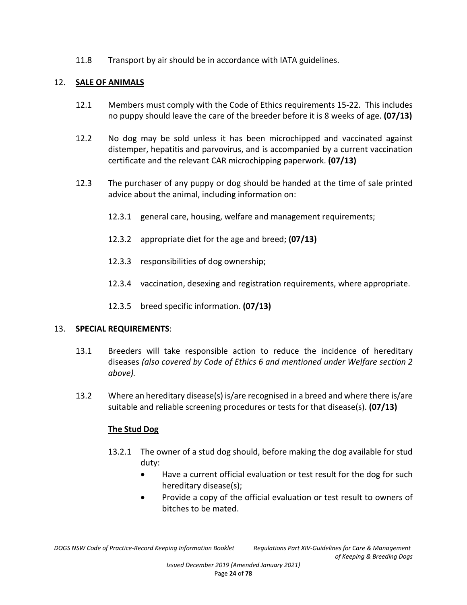11.8 Transport by air should be in accordance with IATA guidelines.

### 12. **SALE OF ANIMALS**

- 12.1 Members must comply with the Code of Ethics requirements 15-22. This includes no puppy should leave the care of the breeder before it is 8 weeks of age. **(07/13)**
- 12.2 No dog may be sold unless it has been microchipped and vaccinated against distemper, hepatitis and parvovirus, and is accompanied by a current vaccination certificate and the relevant CAR microchipping paperwork. **(07/13)**
- 12.3 The purchaser of any puppy or dog should be handed at the time of sale printed advice about the animal, including information on:
	- 12.3.1 general care, housing, welfare and management requirements;
	- 12.3.2 appropriate diet for the age and breed; **(07/13)**
	- 12.3.3 responsibilities of dog ownership;
	- 12.3.4 vaccination, desexing and registration requirements, where appropriate.
	- 12.3.5 breed specific information. **(07/13)**

#### 13. **SPECIAL REQUIREMENTS**:

- 13.1 Breeders will take responsible action to reduce the incidence of hereditary diseases *(also covered by Code of Ethics 6 and mentioned under Welfare section 2 above).*
- 13.2 Where an hereditary disease(s) is/are recognised in a breed and where there is/are suitable and reliable screening procedures or tests for that disease(s). **(07/13)**

# **The Stud Dog**

- 13.2.1 The owner of a stud dog should, before making the dog available for stud duty:
	- Have a current official evaluation or test result for the dog for such hereditary disease(s);
	- Provide a copy of the official evaluation or test result to owners of bitches to be mated.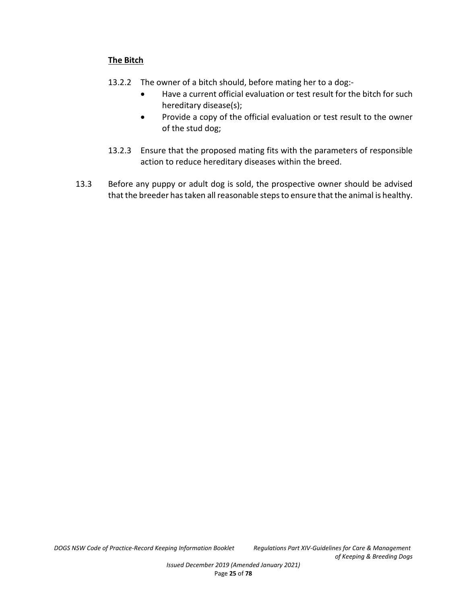# **The Bitch**

- 13.2.2 The owner of a bitch should, before mating her to a dog:-
	- Have a current official evaluation or test result for the bitch for such hereditary disease(s);
	- Provide a copy of the official evaluation or test result to the owner of the stud dog;
- 13.2.3 Ensure that the proposed mating fits with the parameters of responsible action to reduce hereditary diseases within the breed.
- 13.3 Before any puppy or adult dog is sold, the prospective owner should be advised that the breeder has taken all reasonable steps to ensure that the animal is healthy.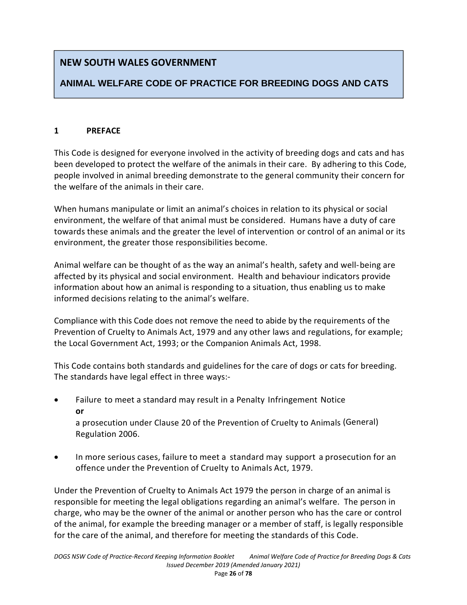# **NEW SOUTH WALES GOVERNMENT**

# **ANIMAL WELFARE CODE OF PRACTICE FOR BREEDING DOGS AND CATS**

# **1 PREFACE**

This Code is designed for everyone involved in the activity of breeding dogs and cats and has been developed to protect the welfare of the animals in their care. By adhering to this Code, people involved in animal breeding demonstrate to the general community their concern for the welfare of the animals in their care.

When humans manipulate or limit an animal's choices in relation to its physical or social environment, the welfare of that animal must be considered. Humans have a duty of care towards these animals and the greater the level of intervention or control of an animal or its environment, the greater those responsibilities become.

Animal welfare can be thought of as the way an animal's health, safety and well-being are affected by its physical and social environment. Health and behaviour indicators provide information about how an animal is responding to a situation, thus enabling us to make informed decisions relating to the animal's welfare.

Compliance with this Code does not remove the need to abide by the requirements of the Prevention of Cruelty to Animals Act, 1979 and any other laws and regulations, for example; the Local Government Act, 1993; or the Companion Animals Act, 1998.

This Code contains both standards and guidelines for the care of dogs or cats for breeding. The standards have legal effect in three ways:-

 Failure to meet a standard may result in a Penalty Infringement Notice **or**

a prosecution under Clause 20 of the Prevention of Cruelty to Animals (General) Regulation 2006.

 In more serious cases, failure to meet a standard may support a prosecution for an offence under the Prevention of Cruelty to Animals Act, 1979.

Under the Prevention of Cruelty to Animals Act 1979 the person in charge of an animal is responsible for meeting the legal obligations regarding an animal's welfare. The person in charge, who may be the owner of the animal or another person who has the care or control of the animal, for example the breeding manager or a member of staff, is legally responsible for the care of the animal, and therefore for meeting the standards of this Code.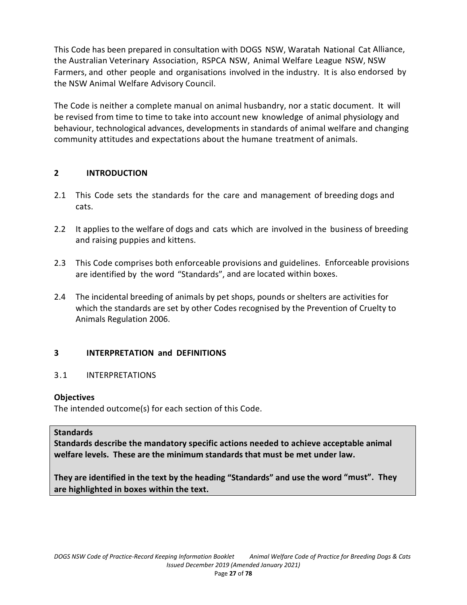This Code has been prepared in consultation with DOGS NSW, Waratah National Cat Alliance, the Australian Veterinary Association, RSPCA NSW, Animal Welfare League NSW, NSW Farmers, and other people and organisations involved in the industry. It is also endorsed by the NSW Animal Welfare Advisory Council.

The Code is neither a complete manual on animal husbandry, nor a static document. It will be revised from time to time to take into account new knowledge of animal physiology and behaviour, technological advances, developments in standards of animal welfare and changing community attitudes and expectations about the humane treatment of animals.

# **2 INTRODUCTION**

- 2.1 This Code sets the standards for the care and management of breeding dogs and cats.
- 2.2 It applies to the welfare of dogs and cats which are involved in the business of breeding and raising puppies and kittens.
- 2.3 This Code comprises both enforceable provisions and guidelines. Enforceable provisions are identified by the word "Standards", and are located within boxes.
- 2.4 The incidental breeding of animals by pet shops, pounds or shelters are activities for which the standards are set by other Codes recognised by the Prevention of Cruelty to Animals Regulation 2006.

# **3 INTERPRETATION and DEFINITIONS**

# 3.1 INTERPRETATIONS

# **Objectives**

The intended outcome(s) for each section of this Code.

#### **Standards**

**Standards describe the mandatory specific actions needed to achieve acceptable animal welfare levels. These are the minimum standards that must be met under law.** 

**They are identified in the text by the heading "Standards" and use the word "must". They are highlighted in boxes within the text.**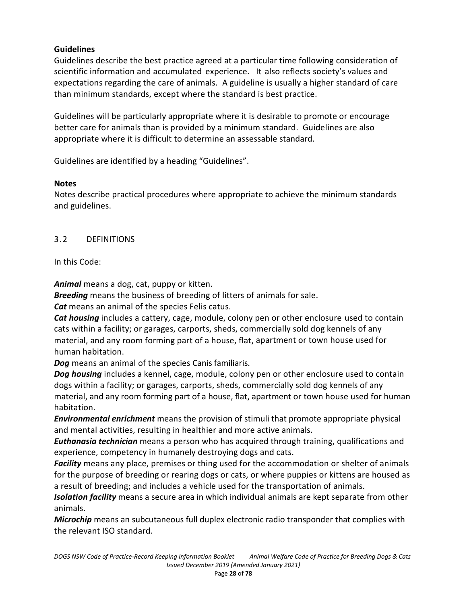# **Guidelines**

Guidelines describe the best practice agreed at a particular time following consideration of scientific information and accumulated experience. It also reflects society's values and expectations regarding the care of animals. A guideline is usually a higher standard of care than minimum standards, except where the standard is best practice.

Guidelines will be particularly appropriate where it is desirable to promote or encourage better care for animals than is provided by a minimum standard. Guidelines are also appropriate where it is difficult to determine an assessable standard.

Guidelines are identified by a heading "Guidelines".

# **Notes**

Notes describe practical procedures where appropriate to achieve the minimum standards and guidelines.

# 3.2 DEFINITIONS

# In this Code:

*Animal* means a dog, cat, puppy or kitten.

*Breeding* means the business of breeding of litters of animals for sale.

*Cat* means an animal of the species Felis catus.

*Cat housing* includes a cattery, cage, module, colony pen or other enclosure used to contain cats within a facility; or garages, carports, sheds, commercially sold dog kennels of any material, and any room forming part of a house, flat, apartment or town house used for human habitation.

*Dog* means an animal of the species Canis familiaris.

**Dog housing** includes a kennel, cage, module, colony pen or other enclosure used to contain dogs within a facility; or garages, carports, sheds, commercially sold dog kennels of any material, and any room forming part of a house, flat, apartment or town house used for human habitation.

*Environmental enrichment* means the provision of stimuli that promote appropriate physical and mental activities, resulting in healthier and more active animals.

*Euthanasia technician* means a person who has acquired through training, qualifications and experience, competency in humanely destroying dogs and cats.

*Facility* means any place, premises or thing used for the accommodation or shelter of animals for the purpose of breeding or rearing dogs or cats, or where puppies or kittens are housed as a result of breeding; and includes a vehicle used for the transportation of animals.

*Isolation facility* means a secure area in which individual animals are kept separate from other animals.

*Microchip* means an subcutaneous full duplex electronic radio transponder that complies with the relevant ISO standard.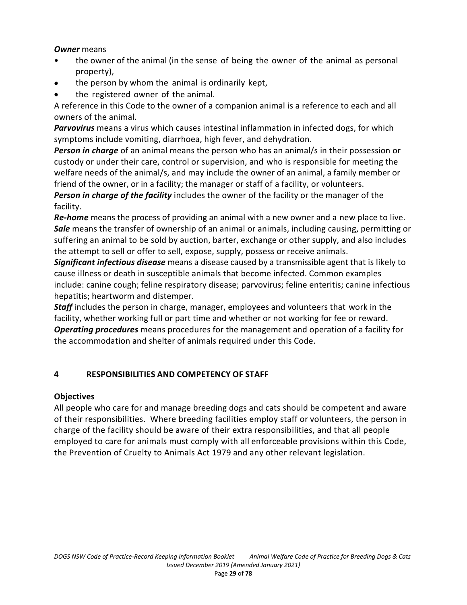### *Owner* means

- the owner of the animal (in the sense of being the owner of the animal as personal property),
- the person by whom the animal is ordinarily kept,
- the registered owner of the animal.

A reference in this Code to the owner of a companion animal is a reference to each and all owners of the animal.

*Parvovirus* means a virus which causes intestinal inflammation in infected dogs, for which symptoms include vomiting, diarrhoea, high fever, and dehydration.

*Person in charge* of an animal means the person who has an animal/s in their possession or custody or under their care, control or supervision, and who is responsible for meeting the welfare needs of the animal/s, and may include the owner of an animal, a family member or friend of the owner, or in a facility; the manager or staff of a facility, or volunteers.

*Person in charge of the facility* includes the owner of the facility or the manager of the facility.

*Re-home* means the process of providing an animal with a new owner and a new place to live. *Sale* means the transfer of ownership of an animal or animals, including causing, permitting or suffering an animal to be sold by auction, barter, exchange or other supply, and also includes the attempt to sell or offer to sell, expose, supply, possess or receive animals.

*Significant infectious disease* means a disease caused by a transmissible agent that is likely to cause illness or death in susceptible animals that become infected. Common examples include: canine cough; feline respiratory disease; parvovirus; feline enteritis; canine infectious hepatitis; heartworm and distemper.

*Staff* includes the person in charge, manager, employees and volunteers that work in the facility, whether working full or part time and whether or not working for fee or reward. *Operating procedures* means procedures for the management and operation of a facility for the accommodation and shelter of animals required under this Code.

# **4 RESPONSIBILITIES AND COMPETENCY OF STAFF**

# **Objectives**

All people who care for and manage breeding dogs and cats should be competent and aware of their responsibilities. Where breeding facilities employ staff or volunteers, the person in charge of the facility should be aware of their extra responsibilities, and that all people employed to care for animals must comply with all enforceable provisions within this Code, the Prevention of Cruelty to Animals Act 1979 and any other relevant legislation.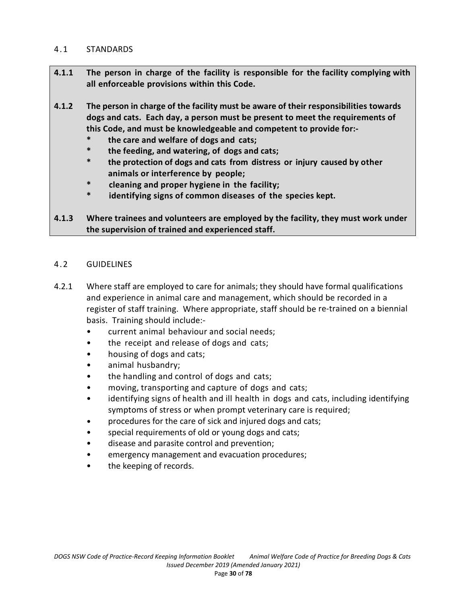#### 4.1 STANDARDS

- **4.1.1 The person in charge of the facility is responsible for the facility complying with all enforceable provisions within this Code.**
- **4.1.2 The person in charge of the facility must be aware of their responsibilities towards dogs and cats. Each day, a person must be present to meet the requirements of this Code, and must be knowledgeable and competent to provide for:-** 
	- **\* the care and welfare of dogs and cats;**
	- **\* the feeding, and watering, of dogs and cats;**
	- **\* the protection of dogs and cats from distress or injury caused by other animals or interference by people;**
	- **\* cleaning and proper hygiene in the facility;**
	- **\* identifying signs of common diseases of the species kept.**

# **4.1.3 Where trainees and volunteers are employed by the facility, they must work under the supervision of trained and experienced staff.**

### 4.2 GUIDELINES

- 4.2.1 Where staff are employed to care for animals; they should have formal qualifications and experience in animal care and management, which should be recorded in a register of staff training. Where appropriate, staff should be re-trained on a biennial basis. Training should include:-
	- current animal behaviour and social needs;
	- the receipt and release of dogs and cats;
	- housing of dogs and cats;
	- animal husbandry;
	- the handling and control of dogs and cats;
	- moving, transporting and capture of dogs and cats;
	- identifying signs of health and ill health in dogs and cats, including identifying symptoms of stress or when prompt veterinary care is required;
	- procedures for the care of sick and injured dogs and cats;
	- special requirements of old or young dogs and cats;
	- disease and parasite control and prevention;
	- emergency management and evacuation procedures;
	- the keeping of records.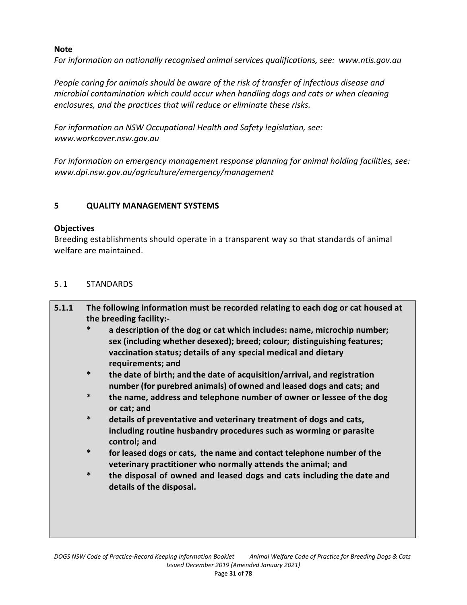# **Note**

*For information on nationally recognised animal services qualifications, see: www.ntis.gov.au* 

*People caring for animals should be aware of the risk of transfer of infectious disease and microbial contamination which could occur when handling dogs and cats or when cleaning enclosures, and the practices that will reduce or eliminate these risks.* 

*For information on NSW Occupational Health and Safety legislation, see: www.workcover.nsw.gov.au* 

*For information on emergency management response planning for animal holding facilities, see: www.dpi.nsw.gov.au/agriculture/emergency/management* 

# **5 QUALITY MANAGEMENT SYSTEMS**

### **Objectives**

Breeding establishments should operate in a transparent way so that standards of animal welfare are maintained.

# 5.1 STANDARDS

| 5.1.1 |        | The following information must be recorded relating to each dog or cat housed at<br>the breeding facility:-                                                                                                           |  |  |  |
|-------|--------|-----------------------------------------------------------------------------------------------------------------------------------------------------------------------------------------------------------------------|--|--|--|
|       | $\ast$ | a description of the dog or cat which includes: name, microchip number;<br>sex (including whether desexed); breed; colour; distinguishing features;<br>vaccination status; details of any special medical and dietary |  |  |  |
|       |        | requirements; and                                                                                                                                                                                                     |  |  |  |
|       | $\ast$ | the date of birth; and the date of acquisition/arrival, and registration                                                                                                                                              |  |  |  |
|       |        | number (for purebred animals) of owned and leased dogs and cats; and                                                                                                                                                  |  |  |  |
|       | $\ast$ | the name, address and telephone number of owner or lessee of the dog<br>or cat; and                                                                                                                                   |  |  |  |
|       | $\ast$ | details of preventative and veterinary treatment of dogs and cats,                                                                                                                                                    |  |  |  |
|       |        | including routine husbandry procedures such as worming or parasite<br>control; and                                                                                                                                    |  |  |  |

- **\* for leased dogs or cats, the name and contact telephone number of the veterinary practitioner who normally attends the animal; and**
- **\* the disposal of owned and leased dogs and cats including the date and details of the disposal.**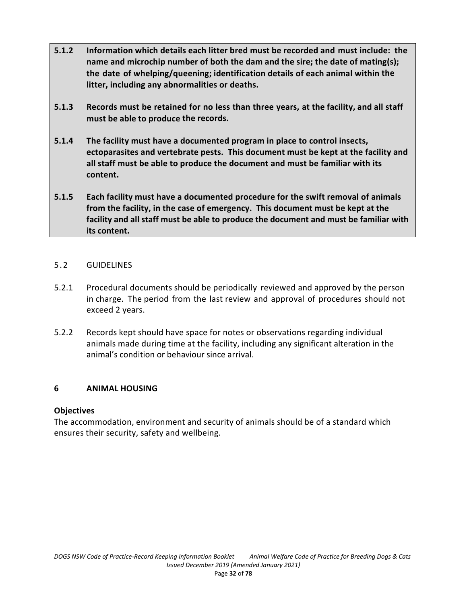- **5.1.2 Information which details each litter bred must be recorded and must include: the name and microchip number of both the dam and the sire; the date of mating(s); the date of whelping/queening; identification details of each animal within the litter, including any abnormalities or deaths.**
- **5.1.3 Records must be retained for no less than three years, at the facility, and all staff must be able to produce the records.**
- **5.1.4 The facility must have a documented program in place to control insects, ectoparasites and vertebrate pests. This document must be kept at the facility and all staff must be able to produce the document and must be familiar with its content.**
- **5.1.5 Each facility must have a documented procedure for the swift removal of animals from the facility, in the case of emergency. This document must be kept at the facility and all staff must be able to produce the document and must be familiar with its content.**

### 5.2 GUIDELINES

- 5.2.1 Procedural documents should be periodically reviewed and approved by the person in charge. The period from the last review and approval of procedures should not exceed 2 years.
- 5.2.2 Records kept should have space for notes or observations regarding individual animals made during time at the facility, including any significant alteration in the animal's condition or behaviour since arrival.

# **6 ANIMAL HOUSING**

#### **Objectives**

The accommodation, environment and security of animals should be of a standard which ensures their security, safety and wellbeing.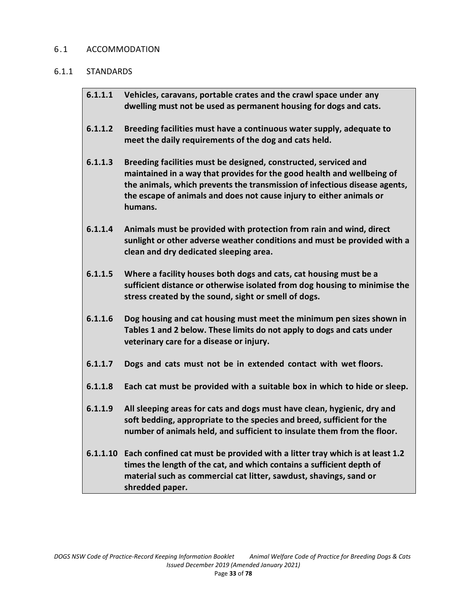#### 6.1 ACCOMMODATION

#### 6.1.1 STANDARDS

| 6.1.1.1 | Vehicles, caravans, portable crates and the crawl space under any<br>dwelling must not be used as permanent housing for dogs and cats.                                                                                                                                                                     |
|---------|------------------------------------------------------------------------------------------------------------------------------------------------------------------------------------------------------------------------------------------------------------------------------------------------------------|
| 6.1.1.2 | Breeding facilities must have a continuous water supply, adequate to<br>meet the daily requirements of the dog and cats held.                                                                                                                                                                              |
| 6.1.1.3 | Breeding facilities must be designed, constructed, serviced and<br>maintained in a way that provides for the good health and wellbeing of<br>the animals, which prevents the transmission of infectious disease agents,<br>the escape of animals and does not cause injury to either animals or<br>humans. |
| 6.1.1.4 | Animals must be provided with protection from rain and wind, direct<br>sunlight or other adverse weather conditions and must be provided with a<br>clean and dry dedicated sleeping area.                                                                                                                  |
| 6.1.1.5 | Where a facility houses both dogs and cats, cat housing must be a<br>sufficient distance or otherwise isolated from dog housing to minimise the<br>stress created by the sound, sight or smell of dogs.                                                                                                    |
| 6.1.1.6 | Dog housing and cat housing must meet the minimum pen sizes shown in<br>Tables 1 and 2 below. These limits do not apply to dogs and cats under<br>veterinary care for a disease or injury.                                                                                                                 |
| 6.1.1.7 | Dogs and cats must not be in extended contact with wet floors.                                                                                                                                                                                                                                             |
| 6.1.1.8 | Each cat must be provided with a suitable box in which to hide or sleep.                                                                                                                                                                                                                                   |
| 6.1.1.9 | All sleeping areas for cats and dogs must have clean, hygienic, dry and<br>soft bedding, appropriate to the species and breed, sufficient for the<br>number of animals held, and sufficient to insulate them from the floor.                                                                               |
|         | 6.1.1.10 Each confined cat must be provided with a litter tray which is at least 1.2<br>times the length of the cat, and which contains a sufficient depth of<br>material such as commercial cat litter, sawdust, shavings, sand or<br>shredded paper.                                                     |
|         |                                                                                                                                                                                                                                                                                                            |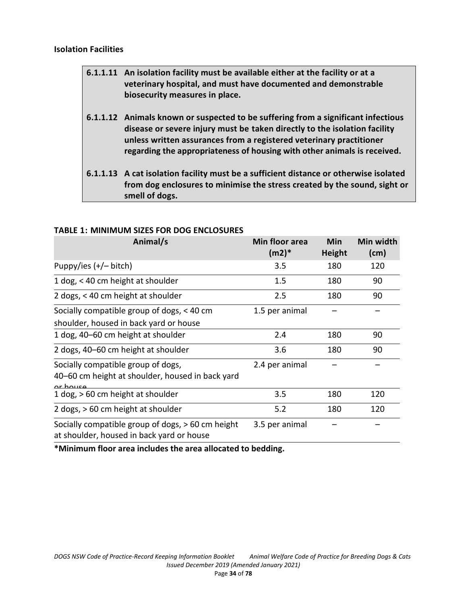#### **Isolation Facilities**

| 6.1.1.11 An isolation facility must be available either at the facility or at a<br>veterinary hospital, and must have documented and demonstrable<br>biosecurity measures in place.                                                                                                                               |
|-------------------------------------------------------------------------------------------------------------------------------------------------------------------------------------------------------------------------------------------------------------------------------------------------------------------|
| 6.1.1.12 Animals known or suspected to be suffering from a significant infectious<br>disease or severe injury must be taken directly to the isolation facility<br>unless written assurances from a registered veterinary practitioner<br>regarding the appropriateness of housing with other animals is received. |
| 6.1.1.13 A cat isolation facility must be a sufficient distance or otherwise isolated<br>from dog enclosures to minimise the stress created by the sound, sight or                                                                                                                                                |

**smell of dogs.** 

| Animal/s                                                                                           | Min floor area<br>$(m2)*$ | Min<br><b>Height</b> | Min width<br>(cm) |
|----------------------------------------------------------------------------------------------------|---------------------------|----------------------|-------------------|
| Puppy/ies $(+/-$ bitch)                                                                            | 3.5                       | 180                  | 120               |
| 1 dog, < 40 cm height at shoulder                                                                  | 1.5                       | 180                  | 90                |
| 2 dogs, < 40 cm height at shoulder                                                                 | 2.5                       | 180                  | 90                |
| Socially compatible group of dogs, < 40 cm<br>shoulder, housed in back yard or house               | 1.5 per animal            |                      |                   |
| 1 dog, 40–60 cm height at shoulder                                                                 | 2.4                       | 180                  | 90                |
| 2 dogs, 40-60 cm height at shoulder                                                                | 3.6                       | 180                  | 90                |
| Socially compatible group of dogs,<br>40–60 cm height at shoulder, housed in back yard<br>or house | 2.4 per animal            |                      |                   |
| 1 dog, > 60 cm height at shoulder                                                                  | 3.5                       | 180                  | 120               |
| 2 dogs, > 60 cm height at shoulder                                                                 | 5.2                       | 180                  | 120               |
| Socially compatible group of dogs, > 60 cm height<br>at shoulder, housed in back yard or house     | 3.5 per animal            |                      |                   |

# **TABLE 1: MINIMUM SIZES FOR DOG ENCLOSURES**

**\*Minimum floor area includes the area allocated to bedding.**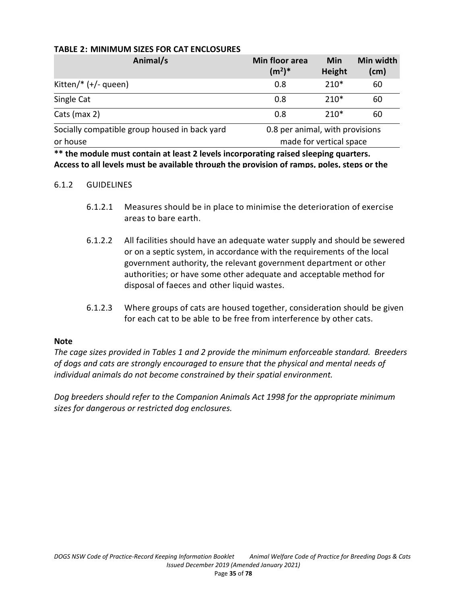| Animal/s                                      | Min floor area<br>$(m^2)^*$     | Min<br>Height | Min width<br>(cm) |
|-----------------------------------------------|---------------------------------|---------------|-------------------|
| Kitten/ $*(+/-$ queen)                        | 0.8                             | $210*$        | 60                |
| Single Cat                                    | 0.8                             | $210*$        | 60                |
| Cats (max 2)                                  | 0.8                             | $210*$        | 60                |
| Socially compatible group housed in back yard | 0.8 per animal, with provisions |               |                   |
| or house                                      | made for vertical space         |               |                   |

#### **TABLE 2: MINIMUM SIZES FOR CAT ENCLOSURES**

**\*\* the module must contain at least 2 levels incorporating raised sleeping quarters. Access to all levels must be available through the provision of ramps, poles, steps or the** 

#### 6.1.2 GUIDELINES

- 6.1.2.1 Measures should be in place to minimise the deterioration of exercise areas to bare earth.
- 6.1.2.2 All facilities should have an adequate water supply and should be sewered or on a septic system, in accordance with the requirements of the local government authority, the relevant government department or other authorities; or have some other adequate and acceptable method for disposal of faeces and other liquid wastes.
- 6.1.2.3 Where groups of cats are housed together, consideration should be given for each cat to be able to be free from interference by other cats.

#### **Note**

*The cage sizes provided in Tables 1 and 2 provide the minimum enforceable standard. Breeders of dogs and cats are strongly encouraged to ensure that the physical and mental needs of individual animals do not become constrained by their spatial environment.* 

*Dog breeders should refer to the Companion Animals Act 1998 for the appropriate minimum sizes for dangerous or restricted dog enclosures.*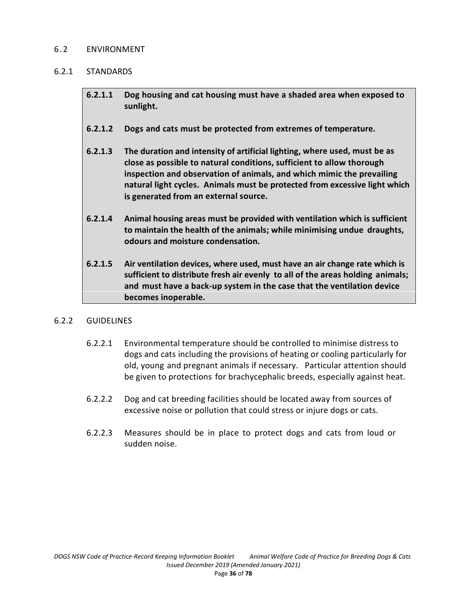### 6.2 ENVIRONMENT

### 6.2.1 STANDARDS

- **6.2.1.1 Dog housing and cat housing must have a shaded area when exposed to sunlight.**
- **6.2.1.2 Dogs and cats must be protected from extremes of temperature.**
- **6.2.1.3 The duration and intensity of artificial lighting, where used, must be as close as possible to natural conditions, sufficient to allow thorough inspection and observation of animals, and which mimic the prevailing natural light cycles. Animals must be protected from excessive light which is generated from an external source.**
- **6.2.1.4 Animal housing areas must be provided with ventilation which is sufficient to maintain the health of the animals; while minimising undue draughts, odours and moisture condensation.**
- **6.2.1.5 Air ventilation devices, where used, must have an air change rate which is sufficient to distribute fresh air evenly to all of the areas holding animals; and must have a back-up system in the case that the ventilation device becomes inoperable.**

#### 6.2.2 GUIDELINES

- 6.2.2.1 Environmental temperature should be controlled to minimise distress to dogs and cats including the provisions of heating or cooling particularly for old, young and pregnant animals if necessary. Particular attention should be given to protections for brachycephalic breeds, especially against heat.
- 6.2.2.2 Dog and cat breeding facilities should be located away from sources of excessive noise or pollution that could stress or injure dogs or cats.
- 6.2.2.3 Measures should be in place to protect dogs and cats from loud or sudden noise.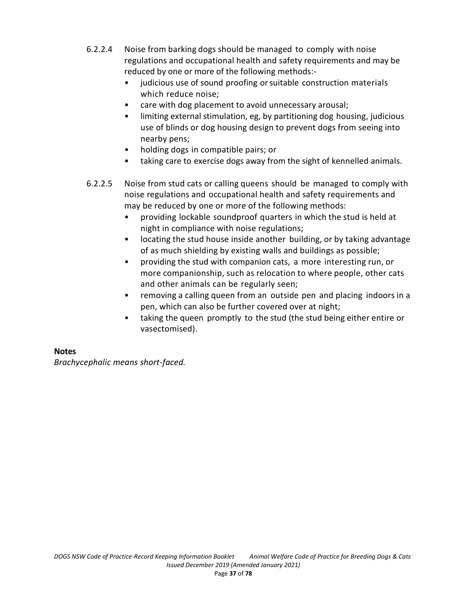- 6.2.2.4 Noise from barking dogs should be managed to comply with noise regulations and occupational health and safety requirements and may be reduced by one or more of the following methods:
	- judicious use of sound proofing or suitable construction materials which reduce noise;
	- care with dog placement to avoid unnecessary arousal;
	- limiting external stimulation, eg, by partitioning dog housing, judicious use of blinds or dog housing design to prevent dogs from seeing into nearby pens;
	- holding dogs in compatible pairs; or
	- taking care to exercise dogs away from the sight of kennelled animals.
- 6.2.2.5 Noise from stud cats or calling queens should be managed to comply with noise regulations and occupational health and safety requirements and may be reduced by one or more of the following methods:
	- providing lockable soundproof quarters in which the stud is held at night in compliance with noise regulations;
	- locating the stud house inside another building, or by taking advantage of as much shielding by existing walls and buildings as possible;
	- providing the stud with companion cats, a more interesting run, or more companionship, such as relocation to where people, other cats and other animals can be regularly seen;
	- removing a calling queen from an outside pen and placing indoors in a pen, which can also be further covered over at night;
	- taking the queen promptly to the stud (the stud being either entire or vasectomised).

# **Notes**

*Brachycephalic means short-faced.*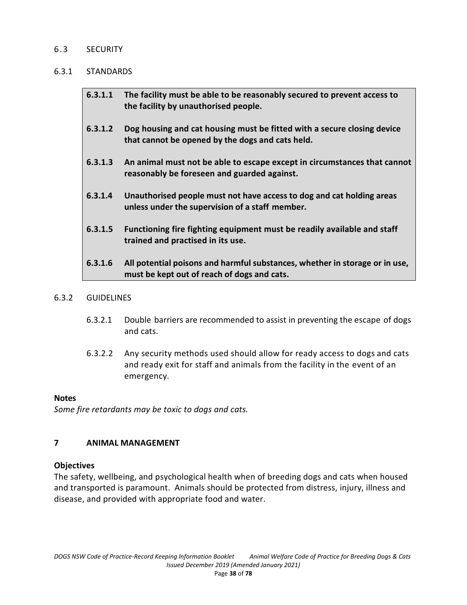### 6.3 SECURITY

### 6.3.1 STANDARDS

| 6.3.1.1 | The facility must be able to be reasonably secured to prevent access to<br>the facility by unauthorised people.             |
|---------|-----------------------------------------------------------------------------------------------------------------------------|
| 6.3.1.2 | Dog housing and cat housing must be fitted with a secure closing device<br>that cannot be opened by the dogs and cats held. |
| 6.3.1.3 | An animal must not be able to escape except in circumstances that cannot<br>reasonably be foreseen and guarded against.     |
| 6.3.1.4 | Unauthorised people must not have access to dog and cat holding areas<br>unless under the supervision of a staff member.    |
| 6.3.1.5 | Functioning fire fighting equipment must be readily available and staff<br>trained and practised in its use.                |
| 6.3.1.6 | All potential poisons and harmful substances, whether in storage or in use,<br>must be kept out of reach of dogs and cats.  |

### 6.3.2 GUIDELINES

- 6.3.2.1 Double barriers are recommended to assist in preventing the escape of dogs and cats.
- 6.3.2.2 Any security methods used should allow for ready access to dogs and cats and ready exit for staff and animals from the facility in the event of an emergency.

#### **Notes**

*Some fire retardants may be toxic to dogs and cats.*

# **7 ANIMAL MANAGEMENT**

### **Objectives**

The safety, wellbeing, and psychological health when of breeding dogs and cats when housed and transported is paramount. Animals should be protected from distress, injury, illness and disease, and provided with appropriate food and water.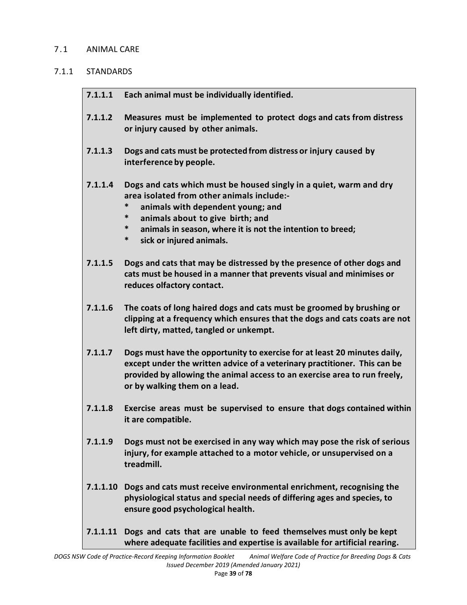## 7.1 ANIMAL CARE

# 7.1.1 STANDARDS

| 7.1.1.1  | Each animal must be individually identified.                                                                                                                                                                                                                                                            |  |  |  |  |  |
|----------|---------------------------------------------------------------------------------------------------------------------------------------------------------------------------------------------------------------------------------------------------------------------------------------------------------|--|--|--|--|--|
| 7.1.1.2  | Measures must be implemented to protect dogs and cats from distress<br>or injury caused by other animals.                                                                                                                                                                                               |  |  |  |  |  |
| 7.1.1.3  | Dogs and cats must be protected from distress or injury caused by<br>interference by people.                                                                                                                                                                                                            |  |  |  |  |  |
| 7.1.1.4  | Dogs and cats which must be housed singly in a quiet, warm and dry<br>area isolated from other animals include:-<br>*<br>animals with dependent young; and<br>*<br>animals about to give birth; and<br>*<br>animals in season, where it is not the intention to breed;<br>*<br>sick or injured animals. |  |  |  |  |  |
| 7.1.1.5  | Dogs and cats that may be distressed by the presence of other dogs and<br>cats must be housed in a manner that prevents visual and minimises or<br>reduces olfactory contact.                                                                                                                           |  |  |  |  |  |
| 7.1.1.6  | The coats of long haired dogs and cats must be groomed by brushing or<br>clipping at a frequency which ensures that the dogs and cats coats are not<br>left dirty, matted, tangled or unkempt.                                                                                                          |  |  |  |  |  |
| 7.1.1.7  | Dogs must have the opportunity to exercise for at least 20 minutes daily,<br>except under the written advice of a veterinary practitioner. This can be<br>provided by allowing the animal access to an exercise area to run freely,<br>or by walking them on a lead.                                    |  |  |  |  |  |
| 7.1.1.8  | Exercise areas must be supervised to ensure that dogs contained within<br>it are compatible.                                                                                                                                                                                                            |  |  |  |  |  |
| 7.1.1.9  | Dogs must not be exercised in any way which may pose the risk of serious<br>injury, for example attached to a motor vehicle, or unsupervised on a<br>treadmill.                                                                                                                                         |  |  |  |  |  |
|          | 7.1.1.10 Dogs and cats must receive environmental enrichment, recognising the<br>physiological status and special needs of differing ages and species, to<br>ensure good psychological health.                                                                                                          |  |  |  |  |  |
| 7.1.1.11 | Dogs and cats that are unable to feed themselves must only be kept<br>where adequate facilities and expertise is available for artificial rearing.                                                                                                                                                      |  |  |  |  |  |
|          |                                                                                                                                                                                                                                                                                                         |  |  |  |  |  |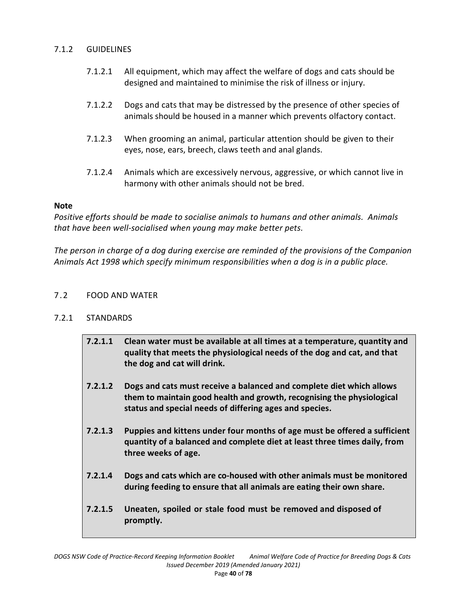### 7.1.2 GUIDELINES

- 7.1.2.1 All equipment, which may affect the welfare of dogs and cats should be designed and maintained to minimise the risk of illness or injury.
- 7.1.2.2 Dogs and cats that may be distressed by the presence of other species of animals should be housed in a manner which prevents olfactory contact.
- 7.1.2.3 When grooming an animal, particular attention should be given to their eyes, nose, ears, breech, claws teeth and anal glands.
- 7.1.2.4 Animals which are excessively nervous, aggressive, or which cannot live in harmony with other animals should not be bred.

## **Note**

*Positive efforts should be made to socialise animals to humans and other animals. Animals that have been well-socialised when young may make better pets.* 

*The person in charge of a dog during exercise are reminded of the provisions of the Companion Animals Act 1998 which specify minimum responsibilities when a dog is in a public place.* 

## 7.2 FOOD AND WATER

# 7.2.1 STANDARDS

**7.2.1.1 Clean water must be available at all times at a temperature, quantity and quality that meets the physiological needs of the dog and cat, and that the dog and cat will drink. 7.2.1.2 Dogs and cats must receive a balanced and complete diet which allows them to maintain good health and growth, recognising the physiological status and special needs of differing ages and species. 7.2.1.3 Puppies and kittens under four months of age must be offered a sufficient quantity of a balanced and complete diet at least three times daily, from three weeks of age. 7.2.1.4 Dogs and cats which are co-housed with other animals must be monitored during feeding to ensure that all animals are eating their own share. 7.2.1.5 Uneaten, spoiled or stale food must be removed and disposed of promptly.**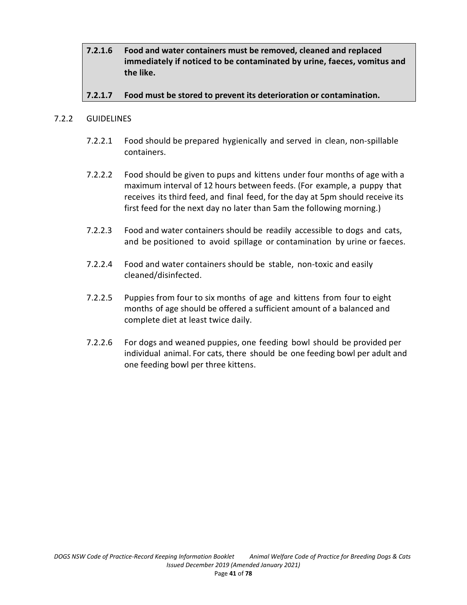**7.2.1.6 Food and water containers must be removed, cleaned and replaced immediately if noticed to be contaminated by urine, faeces, vomitus and the like.** 

# **7.2.1.7 Food must be stored to prevent its deterioration or contamination.**

### 7.2.2 GUIDELINES

- 7.2.2.1 Food should be prepared hygienically and served in clean, non-spillable containers.
- 7.2.2.2 Food should be given to pups and kittens under four months of age with a maximum interval of 12 hours between feeds. (For example, a puppy that receives its third feed, and final feed, for the day at 5pm should receive its first feed for the next day no later than 5am the following morning.)
- 7.2.2.3 Food and water containers should be readily accessible to dogs and cats, and be positioned to avoid spillage or contamination by urine or faeces.
- 7.2.2.4 Food and water containers should be stable, non-toxic and easily cleaned/disinfected.
- 7.2.2.5 Puppies from four to six months of age and kittens from four to eight months of age should be offered a sufficient amount of a balanced and complete diet at least twice daily.
- 7.2.2.6 For dogs and weaned puppies, one feeding bowl should be provided per individual animal. For cats, there should be one feeding bowl per adult and one feeding bowl per three kittens.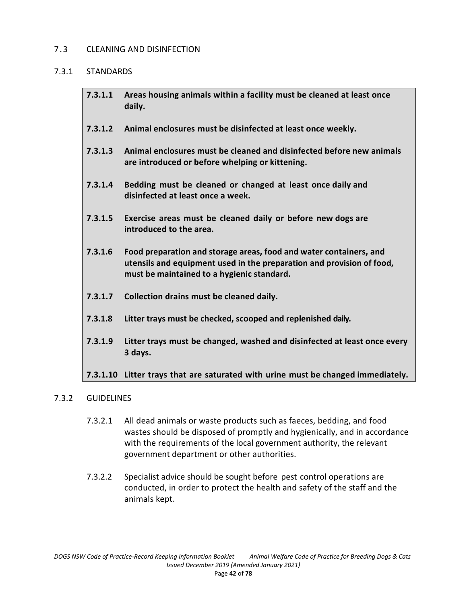### 7.3 CLEANING AND DISINFECTION

### 7.3.1 STANDARDS

| 7.3.1.1 Areas housing animals within a facility must be cleaned at least once |
|-------------------------------------------------------------------------------|
| daily.                                                                        |

- **7.3.1.2 Animal enclosures must be disinfected at least once weekly.**
- **7.3.1.3 Animal enclosures must be cleaned and disinfected before new animals are introduced or before whelping or kittening.**
- **7.3.1.4 Bedding must be cleaned or changed at least once daily and disinfected at least once a week.**
- **7.3.1.5 Exercise areas must be cleaned daily or before new dogs are introduced to the area.**
- **7.3.1.6 Food preparation and storage areas, food and water containers, and utensils and equipment used in the preparation and provision of food, must be maintained to a hygienic standard.**
- **7.3.1.7 Collection drains must be cleaned daily.**
- **7.3.1.8 Litter trays must be checked, scooped and replenished daily.**
- **7.3.1.9 Litter trays must be changed, washed and disinfected at least once every 3 days.**

# **7.3.1.10 Litter trays that are saturated with urine must be changed immediately.**

### 7.3.2 GUIDELINES

- 7.3.2.1 All dead animals or waste products such as faeces, bedding, and food wastes should be disposed of promptly and hygienically, and in accordance with the requirements of the local government authority, the relevant government department or other authorities.
- 7.3.2.2 Specialist advice should be sought before pest control operations are conducted, in order to protect the health and safety of the staff and the animals kept.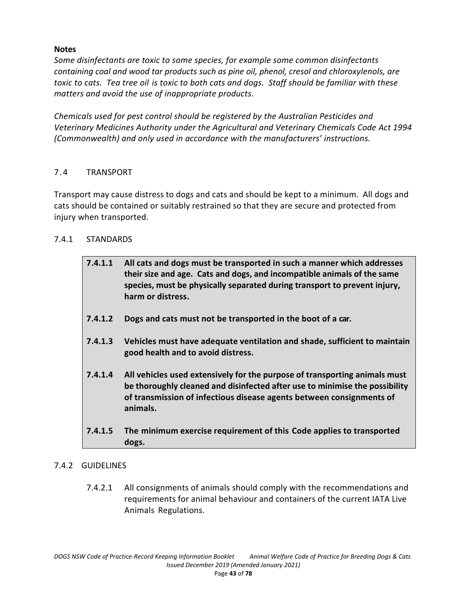# **Notes**

*Some disinfectants are toxic to some species, for example some common disinfectants containing coal and wood tar products such as pine oil, phenol, cresol and chloroxylenols, are toxic to cats. Tea tree oil is toxic to both cats and dogs. Staff should be familiar with these matters and avoid the use of inappropriate products.*

*Chemicals used for pest control should be registered by the Australian Pesticides and Veterinary Medicines Authority under the Agricultural and Veterinary Chemicals Code Act 1994 (Commonwealth) and only used in accordance with the manufacturers' instructions.*

# 7.4 TRANSPORT

Transport may cause distress to dogs and cats and should be kept to a minimum. All dogs and cats should be contained or suitably restrained so that they are secure and protected from injury when transported.

# 7.4.1 STANDARDS

| 7.4.1.1 | All cats and dogs must be transported in such a manner which addresses<br>their size and age. Cats and dogs, and incompatible animals of the same<br>species, must be physically separated during transport to prevent injury,<br>harm or distress. |
|---------|-----------------------------------------------------------------------------------------------------------------------------------------------------------------------------------------------------------------------------------------------------|
| 7.4.1.2 | Dogs and cats must not be transported in the boot of a car.                                                                                                                                                                                         |
| 7.4.1.3 | Vehicles must have adequate ventilation and shade, sufficient to maintain<br>good health and to avoid distress.                                                                                                                                     |
| 7.4.1.4 | All vehicles used extensively for the purpose of transporting animals must<br>be thoroughly cleaned and disinfected after use to minimise the possibility<br>of transmission of infectious disease agents between consignments of<br>animals.       |
| 7.4.1.5 | The minimum exercise requirement of this Code applies to transported<br>dogs.                                                                                                                                                                       |

# 7.4.2 GUIDELINES

7.4.2.1 All consignments of animals should comply with the recommendations and requirements for animal behaviour and containers of the current IATA Live Animals Regulations.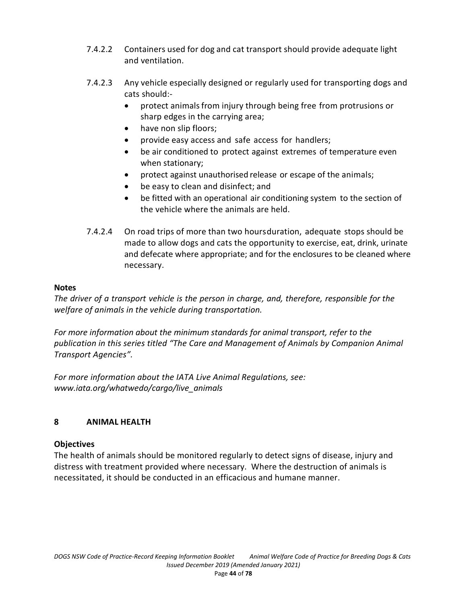- 7.4.2.2 Containers used for dog and cat transport should provide adequate light and ventilation.
- 7.4.2.3 Any vehicle especially designed or regularly used for transporting dogs and cats should:
	- protect animals from injury through being free from protrusions or sharp edges in the carrying area;
	- have non slip floors;
	- provide easy access and safe access for handlers;
	- be air conditioned to protect against extremes of temperature even when stationary;
	- protect against unauthorised release or escape of the animals;
	- be easy to clean and disinfect; and
	- be fitted with an operational air conditioning system to the section of the vehicle where the animals are held.
- 7.4.2.4 On road trips of more than two hoursduration, adequate stops should be made to allow dogs and cats the opportunity to exercise, eat, drink, urinate and defecate where appropriate; and for the enclosures to be cleaned where necessary.

# **Notes**

*The driver of a transport vehicle is the person in charge, and, therefore, responsible for the welfare of animals in the vehicle during transportation.*

*For more information about the minimum standards for animal transport, refer to the publication in this series titled "The Care and Management of Animals by Companion Animal Transport Agencies".*

*For more information about the IATA Live Animal Regulations, see: www.iata.org/whatwedo/cargo/live\_animals*

# **8 ANIMAL HEALTH**

# **Objectives**

The health of animals should be monitored regularly to detect signs of disease, injury and distress with treatment provided where necessary. Where the destruction of animals is necessitated, it should be conducted in an efficacious and humane manner.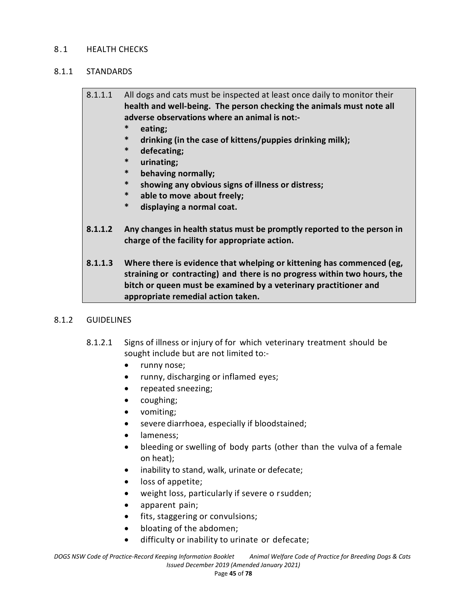### 8.1 HEALTH CHECKS

### 8.1.1 STANDARDS

# 8.1.1.1 All dogs and cats must be inspected at least once daily to monitor their **health and well-being. The person checking the animals must note all adverse observations where an animal is not:-**

- **\* eating;**
- **\* drinking (in the case of kittens/puppies drinking milk);**
- **\* defecating;**
- **\* urinating;**
- **\* behaving normally;**
- **\* showing any obvious signs of illness or distress;**
- **\* able to move about freely;**
- **\* displaying a normal coat.**
- **8.1.1.2 Any changes in health status must be promptly reported to the person in charge of the facility for appropriate action.**
- **8.1.1.3 Where there is evidence that whelping or kittening has commenced (eg, straining or contracting) and there is no progress within two hours, the bitch or queen must be examined by a veterinary practitioner and appropriate remedial action taken.**

### 8.1.2 GUIDELINES

- 8.1.2.1 Signs of illness or injury of for which veterinary treatment should be sought include but are not limited to:-
	- runny nose;
	- runny, discharging or inflamed eyes;
	- repeated sneezing;
	- coughing;
	- vomiting;
	- severe diarrhoea, especially if bloodstained;
	- lameness;
	- bleeding or swelling of body parts (other than the vulva of a female on heat);
	- inability to stand, walk, urinate or defecate;
	- loss of appetite;
	- weight loss, particularly if severe o rsudden;
	- apparent pain;
	- fits, staggering or convulsions;
	- bloating of the abdomen;
	- difficulty or inability to urinate or defecate;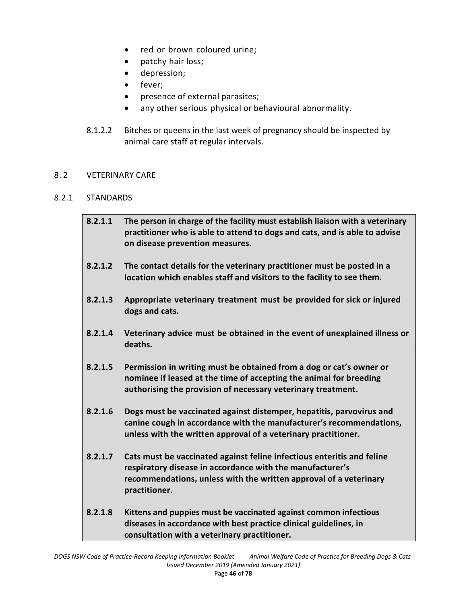- red or brown coloured urine;
- patchy hair loss;
- depression;
- fever;
- presence of external parasites;
- any other serious physical or behavioural abnormality.
- 8.1.2.2 Bitches or queens in the last week of pregnancy should be inspected by animal care staff at regular intervals.

### 8.2 VETERINARY CARE

## 8.2.1 STANDARDS

| 8.2.1.1 | The person in charge of the facility must establish liaison with a veterinary<br>practitioner who is able to attend to dogs and cats, and is able to advise<br>on disease prevention measures.                            |
|---------|---------------------------------------------------------------------------------------------------------------------------------------------------------------------------------------------------------------------------|
| 8.2.1.2 | The contact details for the veterinary practitioner must be posted in a<br>location which enables staff and visitors to the facility to see them.                                                                         |
| 8.2.1.3 | Appropriate veterinary treatment must be provided for sick or injured<br>dogs and cats.                                                                                                                                   |
| 8.2.1.4 | Veterinary advice must be obtained in the event of unexplained illness or<br>deaths.                                                                                                                                      |
| 8.2.1.5 | Permission in writing must be obtained from a dog or cat's owner or<br>nominee if leased at the time of accepting the animal for breeding<br>authorising the provision of necessary veterinary treatment.                 |
| 8.2.1.6 | Dogs must be vaccinated against distemper, hepatitis, parvovirus and<br>canine cough in accordance with the manufacturer's recommendations,<br>unless with the written approval of a veterinary practitioner.             |
| 8.2.1.7 | Cats must be vaccinated against feline infectious enteritis and feline<br>respiratory disease in accordance with the manufacturer's<br>recommendations, unless with the written approval of a veterinary<br>practitioner. |
| 8.2.1.8 | Kittens and puppies must be vaccinated against common infectious<br>diseases in accordance with best practice clinical guidelines, in<br>consultation with a veterinary practitioner.                                     |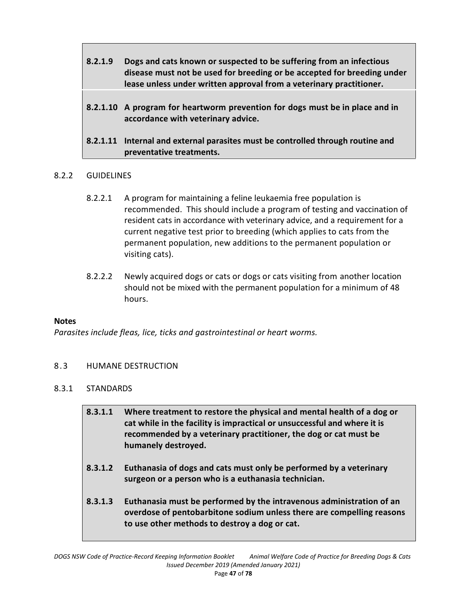| 8.2.1.9 | Dogs and cats known or suspected to be suffering from an infectious<br>disease must not be used for breeding or be accepted for breeding under<br>lease unless under written approval from a veterinary practitioner. |
|---------|-----------------------------------------------------------------------------------------------------------------------------------------------------------------------------------------------------------------------|
|         |                                                                                                                                                                                                                       |

- **8.2.1.10 A program for heartworm prevention for dogs must be in place and in accordance with veterinary advice.**
- **8.2.1.11 Internal and external parasites must be controlled through routine and preventative treatments.**

# 8.2.2 GUIDELINES

- 8.2.2.1 A program for maintaining a feline leukaemia free population is recommended. This should include a program of testing and vaccination of resident cats in accordance with veterinary advice, and a requirement for a current negative test prior to breeding (which applies to cats from the permanent population, new additions to the permanent population or visiting cats).
- 8.2.2.2 Newly acquired dogs or cats or dogs or cats visiting from another location should not be mixed with the permanent population for a minimum of 48 hours.

### **Notes**

*Parasites include fleas, lice, ticks and gastrointestinal or heart worms.*

### 8.3 HUMANE DESTRUCTION

### 8.3.1 STANDARDS

- **8.3.1.1 Where treatment to restore the physical and mental health of a dog or cat while in the facility is impractical or unsuccessful and where it is recommended by a veterinary practitioner, the dog or cat must be humanely destroyed.**
- **8.3.1.2 Euthanasia of dogs and cats must only be performed by a veterinary surgeon or a person who is a euthanasia technician.**
- **8.3.1.3 Euthanasia must be performed by the intravenous administration of an overdose of pentobarbitone sodium unless there are compelling reasons to use other methods to destroy a dog or cat.**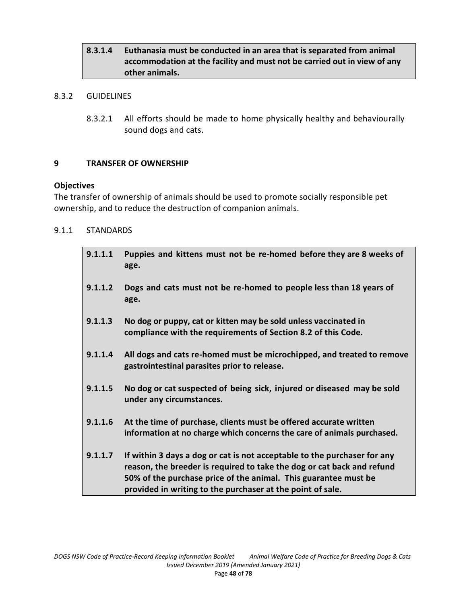# **8.3.1.4 Euthanasia must be conducted in an area that is separated from animal accommodation at the facility and must not be carried out in view of any other animals.**

### 8.3.2 GUIDELINES

8.3.2.1 All efforts should be made to home physically healthy and behaviourally sound dogs and cats.

### **9 TRANSFER OF OWNERSHIP**

#### **Objectives**

The transfer of ownership of animals should be used to promote socially responsible pet ownership, and to reduce the destruction of companion animals.

### 9.1.1 STANDARDS

| 9.1.1.1 | Puppies and kittens must not be re-homed before they are 8 weeks of<br>age.                                                                                                                                                                                                         |
|---------|-------------------------------------------------------------------------------------------------------------------------------------------------------------------------------------------------------------------------------------------------------------------------------------|
| 9.1.1.2 | Dogs and cats must not be re-homed to people less than 18 years of<br>age.                                                                                                                                                                                                          |
| 9.1.1.3 | No dog or puppy, cat or kitten may be sold unless vaccinated in<br>compliance with the requirements of Section 8.2 of this Code.                                                                                                                                                    |
| 9.1.1.4 | All dogs and cats re-homed must be microchipped, and treated to remove<br>gastrointestinal parasites prior to release.                                                                                                                                                              |
| 9.1.1.5 | No dog or cat suspected of being sick, injured or diseased may be sold<br>under any circumstances.                                                                                                                                                                                  |
| 9.1.1.6 | At the time of purchase, clients must be offered accurate written<br>information at no charge which concerns the care of animals purchased.                                                                                                                                         |
| 9.1.1.7 | If within 3 days a dog or cat is not acceptable to the purchaser for any<br>reason, the breeder is required to take the dog or cat back and refund<br>50% of the purchase price of the animal. This guarantee must be<br>provided in writing to the purchaser at the point of sale. |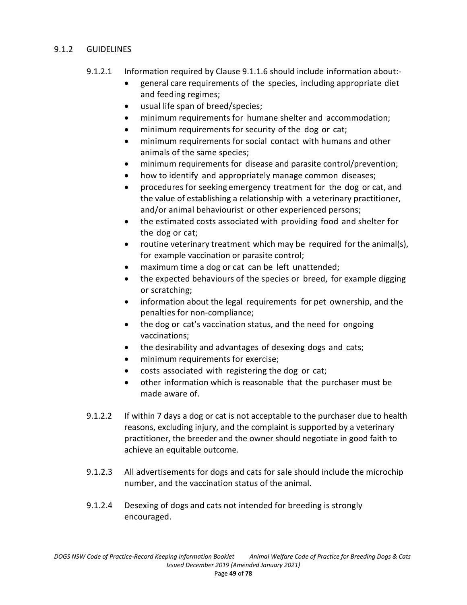## 9.1.2 GUIDELINES

- 9.1.2.1 Information required by Clause 9.1.1.6 should include information about:
	- general care requirements of the species, including appropriate diet and feeding regimes;
	- usual life span of breed/species;
	- minimum requirements for humane shelter and accommodation;
	- minimum requirements for security of the dog or cat;
	- minimum requirements for social contact with humans and other animals of the same species;
	- minimum requirements for disease and parasite control/prevention;
	- how to identify and appropriately manage common diseases;
	- procedures for seeking emergency treatment for the dog or cat, and the value of establishing a relationship with a veterinary practitioner, and/or animal behaviourist or other experienced persons;
	- the estimated costs associated with providing food and shelter for the dog or cat;
	- routine veterinary treatment which may be required for the animal(s), for example vaccination or parasite control;
	- maximum time a dog or cat can be left unattended;
	- the expected behaviours of the species or breed, for example digging or scratching;
	- information about the legal requirements for pet ownership, and the penalties for non-compliance;
	- the dog or cat's vaccination status, and the need for ongoing vaccinations;
	- the desirability and advantages of desexing dogs and cats;
	- minimum requirements for exercise;
	- costs associated with registering the dog or cat;
	- other information which is reasonable that the purchaser must be made aware of.
- 9.1.2.2 If within 7 days a dog or cat is not acceptable to the purchaser due to health reasons, excluding injury, and the complaint is supported by a veterinary practitioner, the breeder and the owner should negotiate in good faith to achieve an equitable outcome.
- 9.1.2.3 All advertisements for dogs and cats for sale should include the microchip number, and the vaccination status of the animal.
- 9.1.2.4 Desexing of dogs and cats not intended for breeding is strongly encouraged.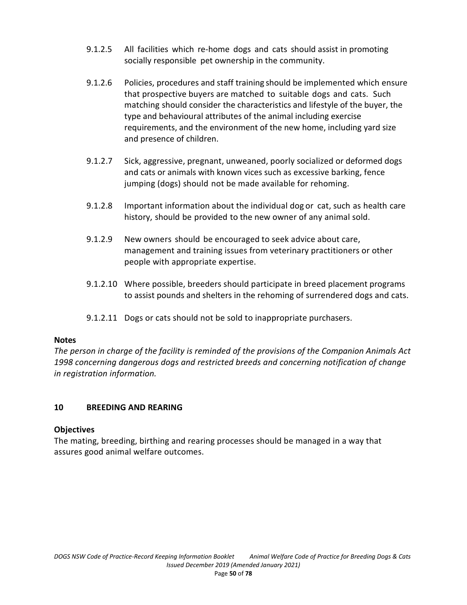- 9.1.2.5 All facilities which re-home dogs and cats should assist in promoting socially responsible pet ownership in the community.
- 9.1.2.6 Policies, procedures and staff training should be implemented which ensure that prospective buyers are matched to suitable dogs and cats. Such matching should consider the characteristics and lifestyle of the buyer, the type and behavioural attributes of the animal including exercise requirements, and the environment of the new home, including yard size and presence of children.
- 9.1.2.7 Sick, aggressive, pregnant, unweaned, poorly socialized or deformed dogs and cats or animals with known vices such as excessive barking, fence jumping (dogs) should not be made available for rehoming.
- 9.1.2.8 Important information about the individual dog or cat, such as health care history, should be provided to the new owner of any animal sold.
- 9.1.2.9 New owners should be encouraged to seek advice about care, management and training issues from veterinary practitioners or other people with appropriate expertise.
- 9.1.2.10 Where possible, breeders should participate in breed placement programs to assist pounds and shelters in the rehoming of surrendered dogs and cats.
- 9.1.2.11 Dogs or cats should not be sold to inappropriate purchasers.

# **Notes**

*The person in charge of the facility is reminded of the provisions of the Companion Animals Act 1998 concerning dangerous dogs and restricted breeds and concerning notification of change in registration information.*

# **10 BREEDING AND REARING**

# **Objectives**

The mating, breeding, birthing and rearing processes should be managed in a way that assures good animal welfare outcomes.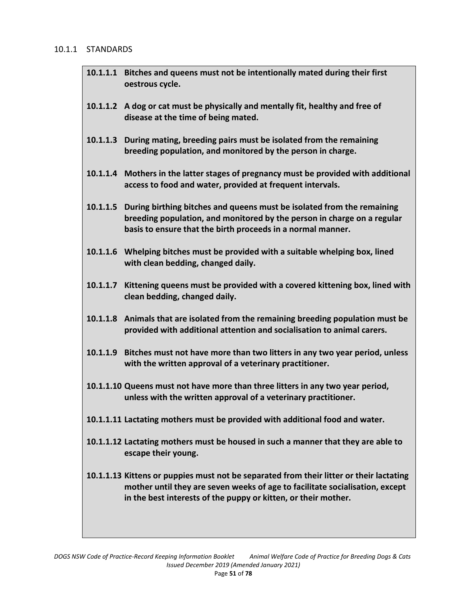#### 10.1.1 STANDARDS

- **10.1.1.1 Bitches and queens must not be intentionally mated during their first oestrous cycle.**
- **10.1.1.2 A dog or cat must be physically and mentally fit, healthy and free of disease at the time of being mated.**
- **10.1.1.3 During mating, breeding pairs must be isolated from the remaining breeding population, and monitored by the person in charge.**
- **10.1.1.4 Mothers in the latter stages of pregnancy must be provided with additional access to food and water, provided at frequent intervals.**
- **10.1.1.5 During birthing bitches and queens must be isolated from the remaining breeding population, and monitored by the person in charge on a regular basis to ensure that the birth proceeds in a normal manner.**
- **10.1.1.6 Whelping bitches must be provided with a suitable whelping box, lined with clean bedding, changed daily.**
- **10.1.1.7 Kittening queens must be provided with a covered kittening box, lined with clean bedding, changed daily.**
- **10.1.1.8 Animals that are isolated from the remaining breeding population must be provided with additional attention and socialisation to animal carers.**
- **10.1.1.9 Bitches must not have more than two litters in any two year period, unless with the written approval of a veterinary practitioner.**
- **10.1.1.10 Queens must not have more than three litters in any two year period, unless with the written approval of a veterinary practitioner.**
- **10.1.1.11 Lactating mothers must be provided with additional food and water.**
- **10.1.1.12 Lactating mothers must be housed in such a manner that they are able to escape their young.**
- **10.1.1.13 Kittens or puppies must not be separated from their litter or their lactating mother until they are seven weeks of age to facilitate socialisation, except in the best interests of the puppy or kitten, or their mother.**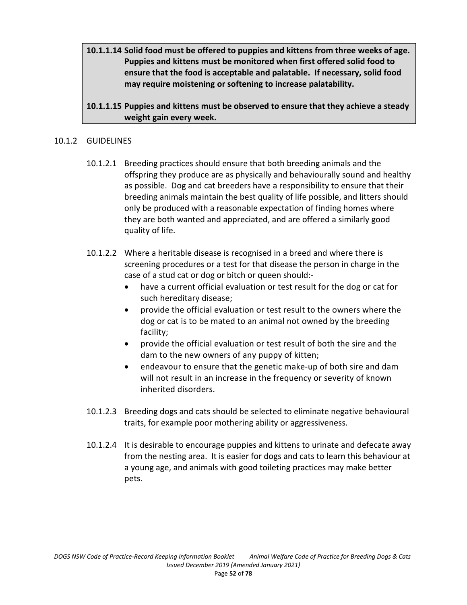**10.1.1.14 Solid food must be offered to puppies and kittens from three weeks of age. Puppies and kittens must be monitored when first offered solid food to ensure that the food is acceptable and palatable. If necessary, solid food may require moistening or softening to increase palatability.** 

# **10.1.1.15 Puppies and kittens must be observed to ensure that they achieve a steady weight gain every week.**

# 10.1.2 GUIDELINES

- 10.1.2.1 Breeding practices should ensure that both breeding animals and the offspring they produce are as physically and behaviourally sound and healthy as possible. Dog and cat breeders have a responsibility to ensure that their breeding animals maintain the best quality of life possible, and litters should only be produced with a reasonable expectation of finding homes where they are both wanted and appreciated, and are offered a similarly good quality of life.
- 10.1.2.2 Where a heritable disease is recognised in a breed and where there is screening procedures or a test for that disease the person in charge in the case of a stud cat or dog or bitch or queen should:
	- have a current official evaluation or test result for the dog or cat for such hereditary disease;
	- provide the official evaluation or test result to the owners where the dog or cat is to be mated to an animal not owned by the breeding facility;
	- provide the official evaluation or test result of both the sire and the dam to the new owners of any puppy of kitten;
	- endeavour to ensure that the genetic make-up of both sire and dam will not result in an increase in the frequency or severity of known inherited disorders.
- 10.1.2.3 Breeding dogs and cats should be selected to eliminate negative behavioural traits, for example poor mothering ability or aggressiveness.
- 10.1.2.4 It is desirable to encourage puppies and kittens to urinate and defecate away from the nesting area. It is easier for dogs and cats to learn this behaviour at a young age, and animals with good toileting practices may make better pets.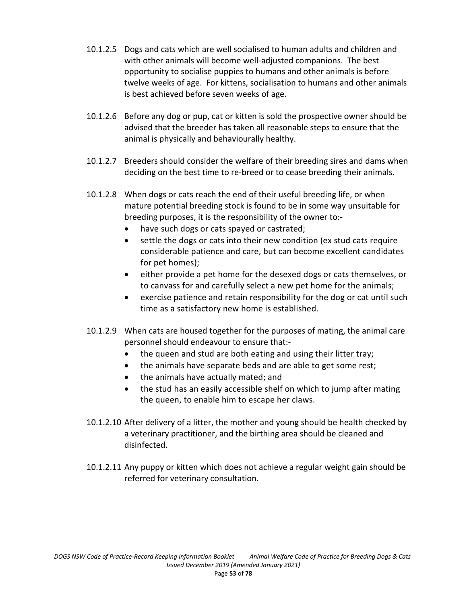- 10.1.2.5 Dogs and cats which are well socialised to human adults and children and with other animals will become well-adjusted companions. The best opportunity to socialise puppies to humans and other animals is before twelve weeks of age. For kittens, socialisation to humans and other animals is best achieved before seven weeks of age.
- 10.1.2.6 Before any dog or pup, cat or kitten is sold the prospective owner should be advised that the breeder has taken all reasonable steps to ensure that the animal is physically and behaviourally healthy.
- 10.1.2.7 Breeders should consider the welfare of their breeding sires and dams when deciding on the best time to re-breed or to cease breeding their animals.
- 10.1.2.8 When dogs or cats reach the end of their useful breeding life, or when mature potential breeding stock is found to be in some way unsuitable for breeding purposes, it is the responsibility of the owner to:-
	- have such dogs or cats spayed or castrated;
	- settle the dogs or cats into their new condition (ex stud cats require considerable patience and care, but can become excellent candidates for pet homes);
	- either provide a pet home for the desexed dogs or cats themselves, or to canvass for and carefully select a new pet home for the animals;
	- exercise patience and retain responsibility for the dog or cat until such time as a satisfactory new home is established.
- 10.1.2.9 When cats are housed together for the purposes of mating, the animal care personnel should endeavour to ensure that:-
	- the queen and stud are both eating and using their litter tray;
	- the animals have separate beds and are able to get some rest;
	- the animals have actually mated; and
	- the stud has an easily accessible shelf on which to jump after mating the queen, to enable him to escape her claws.
- 10.1.2.10 After delivery of a litter, the mother and young should be health checked by a veterinary practitioner, and the birthing area should be cleaned and disinfected.
- 10.1.2.11 Any puppy or kitten which does not achieve a regular weight gain should be referred for veterinary consultation.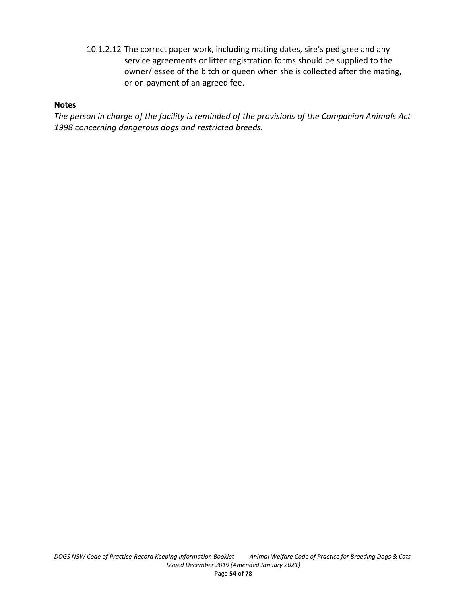10.1.2.12 The correct paper work, including mating dates, sire's pedigree and any service agreements or litter registration forms should be supplied to the owner/lessee of the bitch or queen when she is collected after the mating, or on payment of an agreed fee.

## **Notes**

*The person in charge of the facility is reminded of the provisions of the Companion Animals Act 1998 concerning dangerous dogs and restricted breeds.*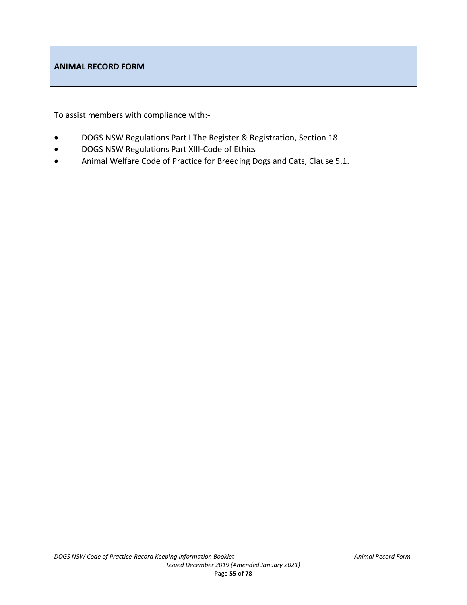### **ANIMAL RECORD FORM**

To assist members with compliance with:-

- DOGS NSW Regulations Part I The Register & Registration, Section 18
- DOGS NSW Regulations Part XIII-Code of Ethics
- Animal Welfare Code of Practice for Breeding Dogs and Cats, Clause 5.1.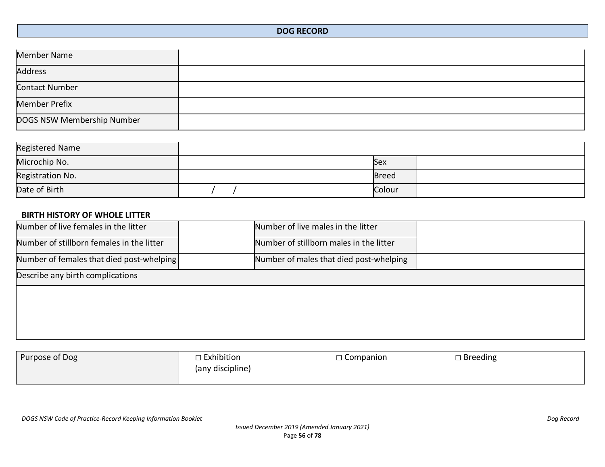| <b>Member Name</b>         |  |
|----------------------------|--|
| <b>Address</b>             |  |
| Contact Number             |  |
| <b>Member Prefix</b>       |  |
| DOGS NSW Membership Number |  |

| Registered Name  |              |  |
|------------------|--------------|--|
| Microchip No.    | Sex          |  |
| Registration No. | <b>Breed</b> |  |
| Date of Birth    | Colour       |  |

# **BIRTH HISTORY OF WHOLE LITTER**

| Number of live females in the litter      | Number of live males in the litter      |  |
|-------------------------------------------|-----------------------------------------|--|
| Number of stillborn females in the litter | Number of stillborn males in the litter |  |
| Number of females that died post-whelping | Number of males that died post-whelping |  |
| Describe any birth complications          |                                         |  |
|                                           |                                         |  |
|                                           |                                         |  |
|                                           |                                         |  |
|                                           |                                         |  |

| Purpose of Dog | □ Exhibition<br>(any discipline) | $\Box$ Companion | $\square$ Breeding |
|----------------|----------------------------------|------------------|--------------------|
|                |                                  |                  |                    |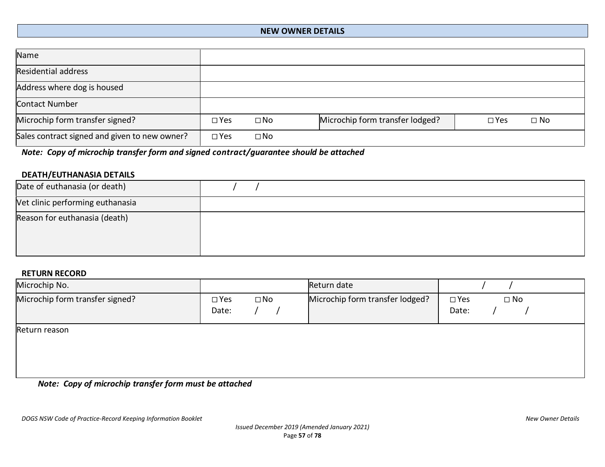### **NEW OWNER DETAILS**

| Name                                          |               |              |                                 |               |              |
|-----------------------------------------------|---------------|--------------|---------------------------------|---------------|--------------|
| <b>Residential address</b>                    |               |              |                                 |               |              |
| Address where dog is housed                   |               |              |                                 |               |              |
| Contact Number                                |               |              |                                 |               |              |
| Microchip form transfer signed?               | $\square$ Yes | $\square$ No | Microchip form transfer lodged? | $\square$ Yes | $\square$ No |
| Sales contract signed and given to new owner? | $\square$ Yes | $\square$ No |                                 |               |              |

*Note: Copy of microchip transfer form and signed contract/guarantee should be attached*

## **DEATH/EUTHANASIA DETAILS**

| Date of euthanasia (or death)    |  |
|----------------------------------|--|
| Vet clinic performing euthanasia |  |
| Reason for euthanasia (death)    |  |

#### **RETURN RECORD**

| Microchip No.                   |                                        | Return date                     |                                        |
|---------------------------------|----------------------------------------|---------------------------------|----------------------------------------|
| Microchip form transfer signed? | $\square$ No<br>$\square$ Yes<br>Date: | Microchip form transfer lodged? | $\square$ No<br>$\square$ Yes<br>Date: |
| Return reason                   |                                        |                                 |                                        |

*Note: Copy of microchip transfer form must be attached*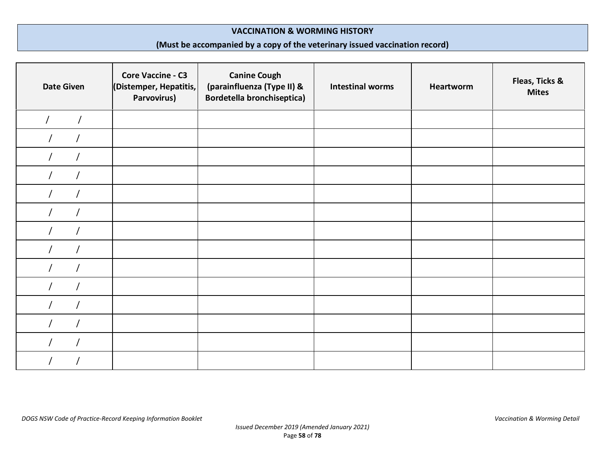#### **VACCINATION & WORMING HISTORY**

# **(Must be accompanied by a copy of the veterinary issued vaccination record)**

| <b>Date Given</b> | <b>Core Vaccine - C3</b><br>(Distemper, Hepatitis,<br>Parvovirus) | <b>Canine Cough</b><br>(parainfluenza (Type II) &<br><b>Bordetella bronchiseptica)</b> | <b>Intestinal worms</b> | <b>Heartworm</b> | Fleas, Ticks &<br><b>Mites</b> |
|-------------------|-------------------------------------------------------------------|----------------------------------------------------------------------------------------|-------------------------|------------------|--------------------------------|
|                   |                                                                   |                                                                                        |                         |                  |                                |
|                   |                                                                   |                                                                                        |                         |                  |                                |
|                   |                                                                   |                                                                                        |                         |                  |                                |
|                   |                                                                   |                                                                                        |                         |                  |                                |
|                   |                                                                   |                                                                                        |                         |                  |                                |
|                   |                                                                   |                                                                                        |                         |                  |                                |
|                   |                                                                   |                                                                                        |                         |                  |                                |
|                   |                                                                   |                                                                                        |                         |                  |                                |
|                   |                                                                   |                                                                                        |                         |                  |                                |
|                   |                                                                   |                                                                                        |                         |                  |                                |
|                   |                                                                   |                                                                                        |                         |                  |                                |
|                   |                                                                   |                                                                                        |                         |                  |                                |
|                   |                                                                   |                                                                                        |                         |                  |                                |
|                   |                                                                   |                                                                                        |                         |                  |                                |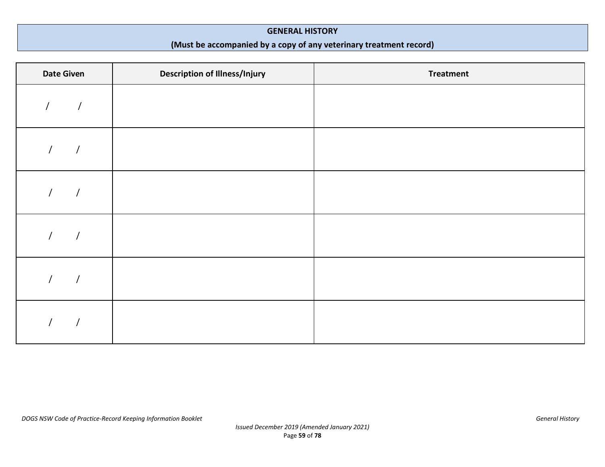#### **GENERAL HISTORY**

# **(Must be accompanied by a copy of any veterinary treatment record)**

| <b>Date Given</b> | <b>Description of Illness/Injury</b> | <b>Treatment</b> |
|-------------------|--------------------------------------|------------------|
|                   |                                      |                  |
|                   |                                      |                  |
|                   |                                      |                  |
|                   |                                      |                  |
|                   |                                      |                  |
|                   |                                      |                  |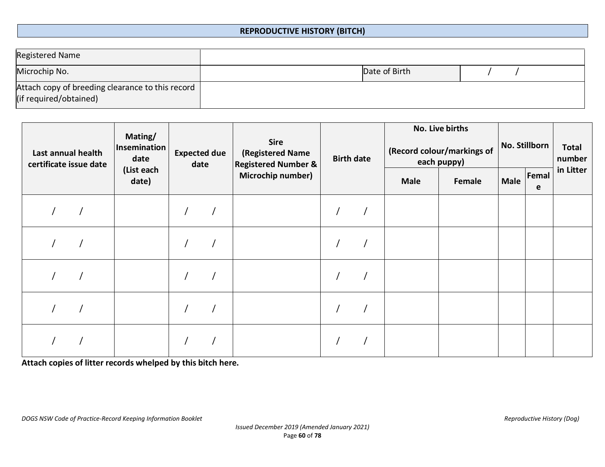# **REPRODUCTIVE HISTORY (BITCH)**

| Registered Name                                                            |               |  |
|----------------------------------------------------------------------------|---------------|--|
| Microchip No.                                                              | Date of Birth |  |
| Attach copy of breeding clearance to this record<br>(if required/obtained) |               |  |

| Last annual health<br>certificate issue date | Mating/<br>Insemination<br>date | <b>Expected due</b><br>date | <b>Sire</b><br>(Registered Name<br><b>Registered Number &amp;</b> | <b>Birth date</b> |             | No. Live births<br>(Record colour/markings of<br>each puppy) | No. Stillborn |            | <b>Total</b><br>number |
|----------------------------------------------|---------------------------------|-----------------------------|-------------------------------------------------------------------|-------------------|-------------|--------------------------------------------------------------|---------------|------------|------------------------|
|                                              | (List each<br>date)             |                             | Microchip number)                                                 |                   | <b>Male</b> | Female                                                       | <b>Male</b>   | Femal<br>e | in Litter              |
|                                              |                                 |                             |                                                                   |                   |             |                                                              |               |            |                        |
|                                              |                                 |                             |                                                                   |                   |             |                                                              |               |            |                        |
|                                              |                                 |                             |                                                                   |                   |             |                                                              |               |            |                        |
|                                              |                                 |                             |                                                                   |                   |             |                                                              |               |            |                        |
|                                              |                                 |                             |                                                                   |                   |             |                                                              |               |            |                        |

**Attach copies of litter records whelped by this bitch here.**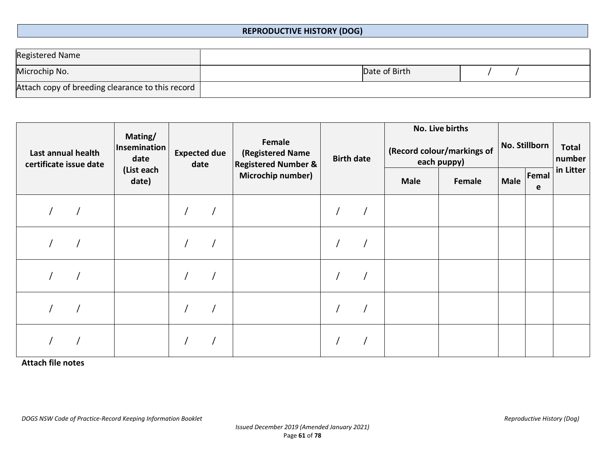### **REPRODUCTIVE HISTORY (DOG)**

| Registered Name                                  |               |  |
|--------------------------------------------------|---------------|--|
| Microchip No.                                    | Date of Birth |  |
| Attach copy of breeding clearance to this record |               |  |

| Last annual health<br>certificate issue date | Mating/<br>Insemination<br>date | <b>Expected due</b> | date | Female<br>(Registered Name<br><b>Registered Number &amp;</b> | <b>Birth date</b> |             | No. Live births<br>(Record colour/markings of<br>each puppy) |             | No. Stillborn | <b>Total</b><br>number |
|----------------------------------------------|---------------------------------|---------------------|------|--------------------------------------------------------------|-------------------|-------------|--------------------------------------------------------------|-------------|---------------|------------------------|
|                                              | (List each<br>date)             |                     |      | Microchip number)                                            |                   | <b>Male</b> | Female                                                       | <b>Male</b> | Femal<br>e    | in Litter              |
|                                              |                                 |                     |      |                                                              |                   |             |                                                              |             |               |                        |
|                                              |                                 |                     |      |                                                              |                   |             |                                                              |             |               |                        |
|                                              |                                 |                     |      |                                                              |                   |             |                                                              |             |               |                        |
|                                              |                                 |                     |      |                                                              |                   |             |                                                              |             |               |                        |
|                                              |                                 |                     |      |                                                              |                   |             |                                                              |             |               |                        |

**Attach file notes**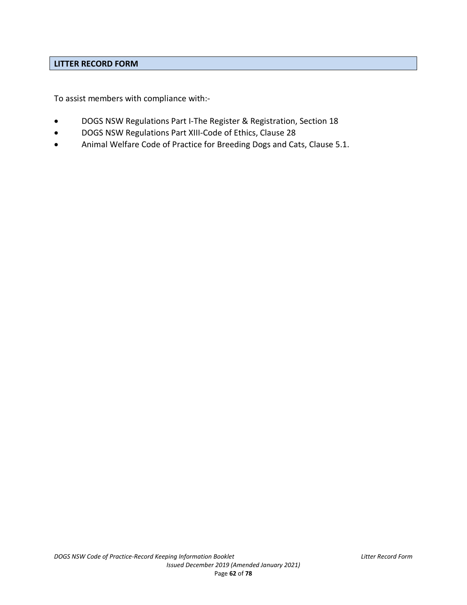### **LITTER RECORD FORM**

To assist members with compliance with:-

- DOGS NSW Regulations Part I-The Register & Registration, Section 18
- DOGS NSW Regulations Part XIII-Code of Ethics, Clause 28
- Animal Welfare Code of Practice for Breeding Dogs and Cats, Clause 5.1.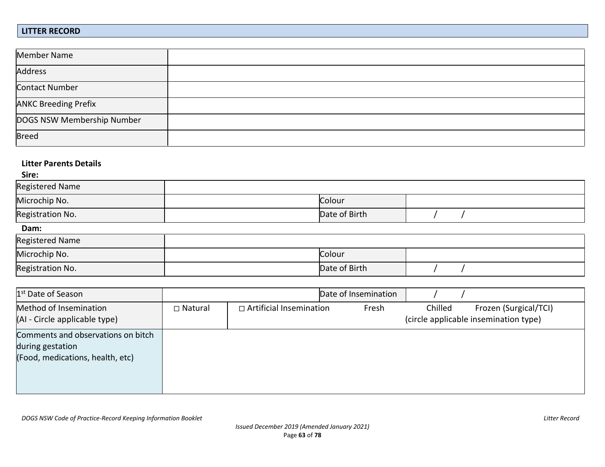#### **LITTER RECORD**

| Member Name                 |  |
|-----------------------------|--|
| <b>Address</b>              |  |
| Contact Number              |  |
| <b>ANKC Breeding Prefix</b> |  |
| DOGS NSW Membership Number  |  |
| <b>Breed</b>                |  |

### **Litter Parents Details**

**Sire:**

| Registered Name  |               |  |
|------------------|---------------|--|
| Microchip No.    | Colour        |  |
| Registration No. | Date of Birth |  |

| ------           |               |  |
|------------------|---------------|--|
| Registered Name  |               |  |
| Microchip No.    | Colour        |  |
| Registration No. | Date of Birth |  |

| 1 <sup>st</sup> Date of Season                                                             |                |                                | Date of Insemination |         |                                                                |
|--------------------------------------------------------------------------------------------|----------------|--------------------------------|----------------------|---------|----------------------------------------------------------------|
| Method of Insemination<br>(AI - Circle applicable type)                                    | $\Box$ Natural | $\Box$ Artificial Insemination | Fresh                | Chilled | Frozen (Surgical/TCI)<br>(circle applicable insemination type) |
| Comments and observations on bitch<br>during gestation<br>(Food, medications, health, etc) |                |                                |                      |         |                                                                |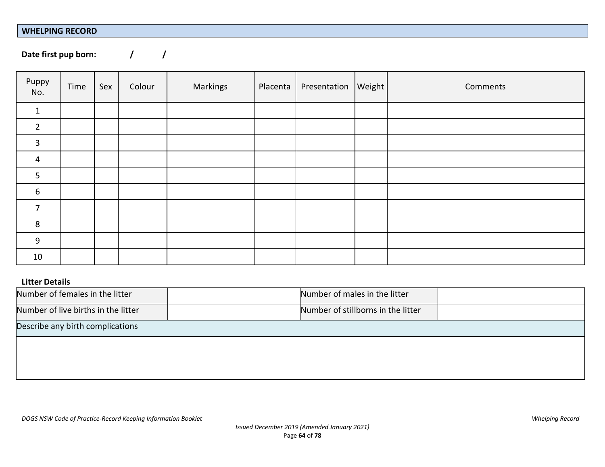#### **WHELPING RECORD**

Date first pup born:  $\frac{1}{2}$  /

| Puppy<br>No.   | Time | Sex | Colour | Markings | Placenta | Presentation   Weight | Comments |
|----------------|------|-----|--------|----------|----------|-----------------------|----------|
| $\mathbf{1}$   |      |     |        |          |          |                       |          |
| $\overline{2}$ |      |     |        |          |          |                       |          |
| 3              |      |     |        |          |          |                       |          |
| $\overline{4}$ |      |     |        |          |          |                       |          |
| 5              |      |     |        |          |          |                       |          |
| 6              |      |     |        |          |          |                       |          |
| 7              |      |     |        |          |          |                       |          |
| 8              |      |     |        |          |          |                       |          |
| 9              |      |     |        |          |          |                       |          |
| 10             |      |     |        |          |          |                       |          |

# **Litter Details**

| Number of females in the litter     | Number of males in the litter      |  |
|-------------------------------------|------------------------------------|--|
| Number of live births in the litter | Number of stillborns in the litter |  |
| Describe any birth complications    |                                    |  |
|                                     |                                    |  |
|                                     |                                    |  |
|                                     |                                    |  |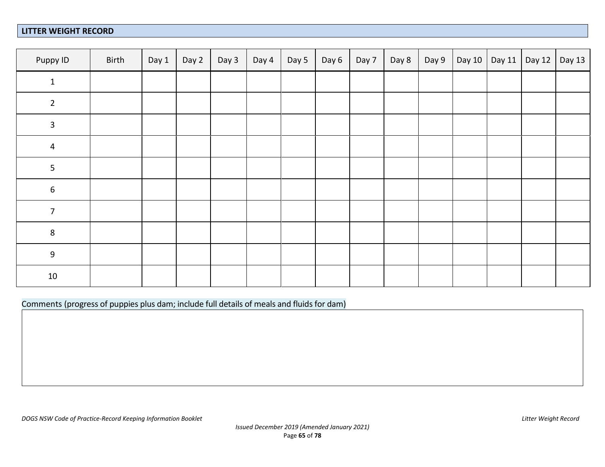### **LITTER WEIGHT RECORD**

| Puppy ID         | Birth | Day 1 | Day 2 | Day 3 | Day 4 | Day 5 | Day 6 | Day 7 | Day 8 | Day 9 | Day 10 Day 11 Day 12 | Day 13 |
|------------------|-------|-------|-------|-------|-------|-------|-------|-------|-------|-------|----------------------|--------|
| $\mathbf 1$      |       |       |       |       |       |       |       |       |       |       |                      |        |
| $\overline{2}$   |       |       |       |       |       |       |       |       |       |       |                      |        |
| $\mathbf{3}$     |       |       |       |       |       |       |       |       |       |       |                      |        |
| $\overline{4}$   |       |       |       |       |       |       |       |       |       |       |                      |        |
| $\overline{5}$   |       |       |       |       |       |       |       |       |       |       |                      |        |
| $\boldsymbol{6}$ |       |       |       |       |       |       |       |       |       |       |                      |        |
| $\overline{7}$   |       |       |       |       |       |       |       |       |       |       |                      |        |
| $\,8\,$          |       |       |       |       |       |       |       |       |       |       |                      |        |
| $\overline{9}$   |       |       |       |       |       |       |       |       |       |       |                      |        |
| $10\,$           |       |       |       |       |       |       |       |       |       |       |                      |        |

Comments (progress of puppies plus dam; include full details of meals and fluids for dam)

*DOGS NSW Code of Practice-Record Keeping Information Booklet Litter Weight Record*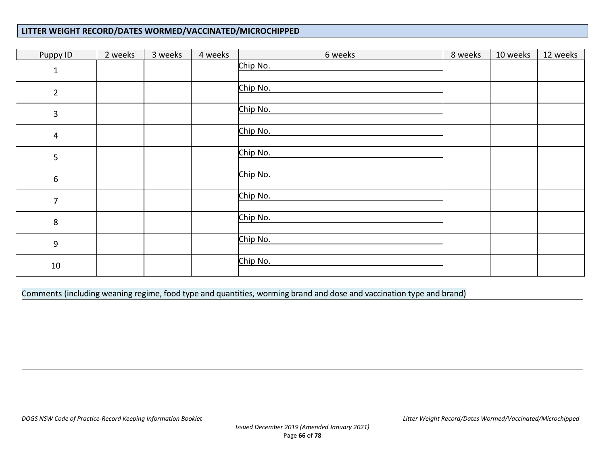### **LITTER WEIGHT RECORD/DATES WORMED/VACCINATED/MICROCHIPPED**

| Puppy ID         | 2 weeks | 3 weeks | 4 weeks | 6 weeks  | 8 weeks | 10 weeks | 12 weeks |
|------------------|---------|---------|---------|----------|---------|----------|----------|
| $\mathbf 1$      |         |         |         | Chip No. |         |          |          |
| $\overline{2}$   |         |         |         | Chip No. |         |          |          |
| $\mathbf{3}$     |         |         |         | Chip No. |         |          |          |
| $\pmb{4}$        |         |         |         | Chip No. |         |          |          |
| 5                |         |         |         | Chip No. |         |          |          |
| 6                |         |         |         | Chip No. |         |          |          |
| $\overline{7}$   |         |         |         | Chip No. |         |          |          |
| 8                |         |         |         | Chip No. |         |          |          |
| $\boldsymbol{9}$ |         |         |         | Chip No. |         |          |          |
| $10\,$           |         |         |         | Chip No. |         |          |          |

Comments (including weaning regime, food type and quantities, worming brand and dose and vaccination type and brand)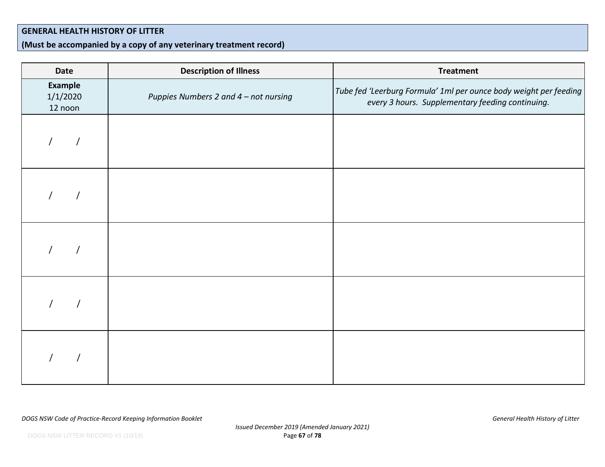### **GENERAL HEALTH HISTORY OF LITTER**

# **(Must be accompanied by a copy of any veterinary treatment record)**

| <b>Date</b>                           | <b>Description of Illness</b>         | <b>Treatment</b>                                                                                                      |
|---------------------------------------|---------------------------------------|-----------------------------------------------------------------------------------------------------------------------|
| <b>Example</b><br>1/1/2020<br>12 noon | Puppies Numbers 2 and 4 - not nursing | Tube fed 'Leerburg Formula' 1ml per ounce body weight per feeding<br>every 3 hours. Supplementary feeding continuing. |
|                                       |                                       |                                                                                                                       |
|                                       |                                       |                                                                                                                       |
|                                       |                                       |                                                                                                                       |
|                                       |                                       |                                                                                                                       |
|                                       |                                       |                                                                                                                       |

*DOGS NSW Code of Practice-Record Keeping Information Booklet General Health History of Litter*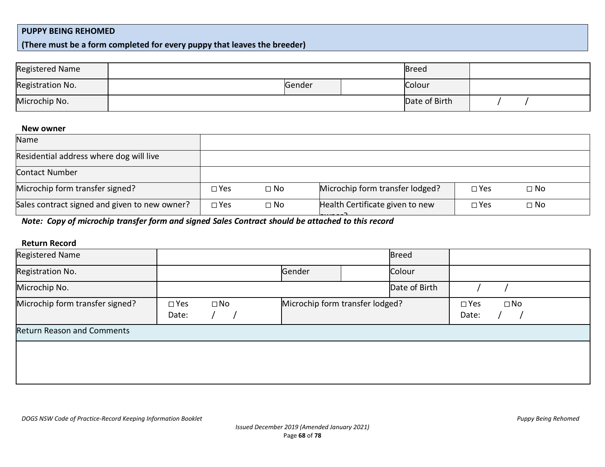#### **PUPPY BEING REHOMED**

**(There must be a form completed for every puppy that leaves the breeder)** 

| Registered Name  |        | <b>Breed</b>  |  |  |
|------------------|--------|---------------|--|--|
| Registration No. | Gender | Colour        |  |  |
| Microchip No.    |        | Date of Birth |  |  |

#### **New owner**

| Name                                          |               |              |                                               |            |              |
|-----------------------------------------------|---------------|--------------|-----------------------------------------------|------------|--------------|
| Residential address where dog will live       |               |              |                                               |            |              |
| Contact Number                                |               |              |                                               |            |              |
| Microchip form transfer signed?               | $\square$ Yes | $\square$ No | Microchip form transfer lodged?               | $\Box$ Yes | $\square$ No |
| Sales contract signed and given to new owner? | $\square$ Yes | $\Box$ No    | Health Certificate given to new<br><u>. 7</u> | $\Box$ Yes | $\square$ No |

**Mote: Copy of microchip transfer form and signed Sales Contract should be attached to this record** 

### **Return Record**

|                        |              | Gender                          |  | Colour        |                        |              |
|------------------------|--------------|---------------------------------|--|---------------|------------------------|--------------|
|                        |              |                                 |  | Date of Birth |                        |              |
| $\square$ Yes<br>Date: | $\square$ No | Microchip form transfer lodged? |  |               | $\square$ Yes<br>Date: | $\square$ No |
|                        |              |                                 |  |               |                        |              |
|                        |              |                                 |  |               |                        |              |
|                        |              |                                 |  |               | <b>Breed</b>           |              |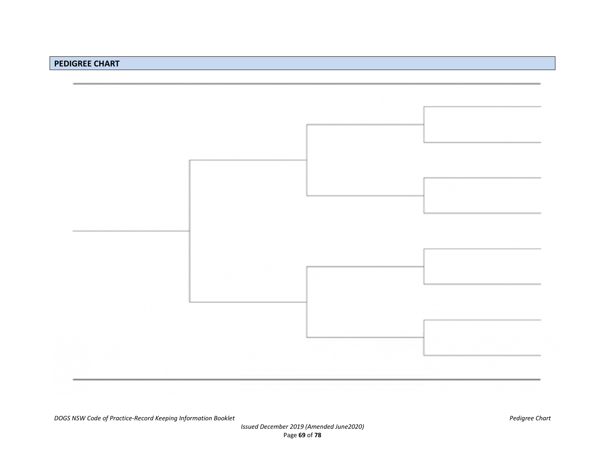#### **PEDIGREE CHART**

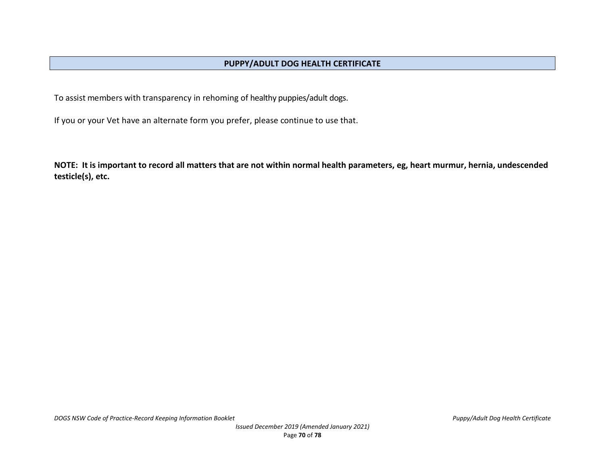To assist members with transparency in rehoming of healthy puppies/adult dogs.

If you or your Vet have an alternate form you prefer, please continue to use that.

**NOTE: It is important to record all matters that are not within normal health parameters, eg, heart murmur, hernia, undescended testicle(s), etc.**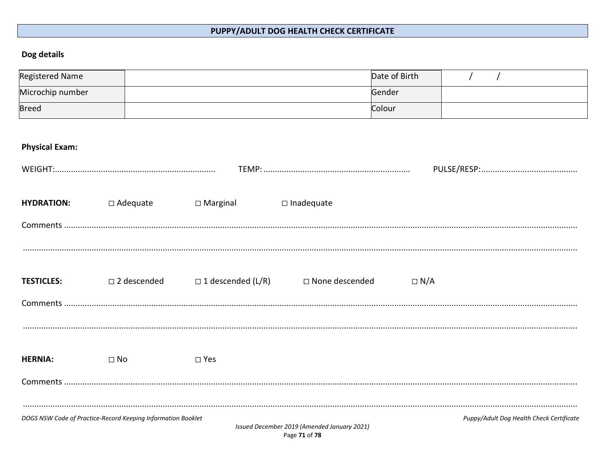# PUPPY/ADULT DOG HEALTH CHECK CERTIFICATE

# Dog details

| <b>Registered Name</b> |                                                              |                             |                                             | Date of Birth |                                          |
|------------------------|--------------------------------------------------------------|-----------------------------|---------------------------------------------|---------------|------------------------------------------|
| Microchip number       |                                                              |                             |                                             | Gender        |                                          |
| <b>Breed</b>           |                                                              |                             |                                             | Colour        |                                          |
|                        |                                                              |                             |                                             |               |                                          |
| <b>Physical Exam:</b>  |                                                              |                             |                                             |               |                                          |
|                        |                                                              |                             |                                             |               |                                          |
|                        |                                                              |                             |                                             |               |                                          |
| <b>HYDRATION:</b>      | $\Box$ Adequate                                              | $\Box$ Marginal             | $\square$ Inadequate                        |               |                                          |
|                        |                                                              |                             |                                             |               |                                          |
|                        |                                                              |                             |                                             |               |                                          |
|                        |                                                              |                             |                                             |               |                                          |
|                        |                                                              |                             |                                             |               |                                          |
| <b>TESTICLES:</b>      | □ 2 descended                                                | $\square$ 1 descended (L/R) | □ None descended                            | $\Box N/A$    |                                          |
|                        |                                                              |                             |                                             |               |                                          |
|                        |                                                              |                             |                                             |               |                                          |
|                        |                                                              |                             |                                             |               |                                          |
| <b>HERNIA:</b>         | $\square$ No                                                 | $\square$ Yes               |                                             |               |                                          |
|                        |                                                              |                             |                                             |               |                                          |
|                        |                                                              |                             |                                             |               |                                          |
|                        |                                                              |                             |                                             |               |                                          |
|                        | DOGS NSW Code of Practice-Record Keeping Information Booklet |                             | Issued December 2019 (Amended January 2021) |               | Puppy/Adult Dog Health Check Certificate |
|                        |                                                              |                             | Page 71 of 78                               |               |                                          |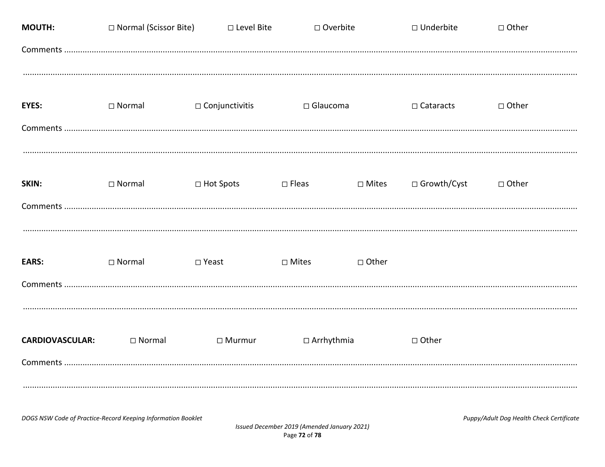| <b>MOUTH:</b>                      | □ Normal (Scissor Bite)                                      | □ Level Bite          | □ Overbite                                                   |              | □ Underbite      | $\Box$ Other                             |
|------------------------------------|--------------------------------------------------------------|-----------------------|--------------------------------------------------------------|--------------|------------------|------------------------------------------|
|                                    |                                                              |                       |                                                              |              |                  |                                          |
| <b>EYES:</b>                       | $\square$ Normal                                             | $\Box$ Conjunctivitis | $\Box$ Glaucoma                                              |              | $\Box$ Cataracts | □ Other                                  |
| SKIN:                              | $\square$ Normal                                             | □ Hot Spots           | $\square$ Fleas                                              | $\Box$ Mites | □ Growth/Cyst    | □ Other                                  |
| <b>EARS:</b>                       | $\square$ Normal                                             | □ Yeast               | $\Box$ Mites                                                 | □ Other      |                  |                                          |
| <b>CARDIOVASCULAR:</b><br>Comments | $\Box$ Normal                                                | $\Box$ Murmur         | $\Box$ Arrhythmia                                            |              | $\Box$ Other     |                                          |
|                                    | DOGS NSW Code of Practice-Record Keeping Information Booklet |                       | Issued December 2019 (Amended January 2021)<br>Page 72 of 78 |              |                  | Puppy/Adult Dog Health Check Certificate |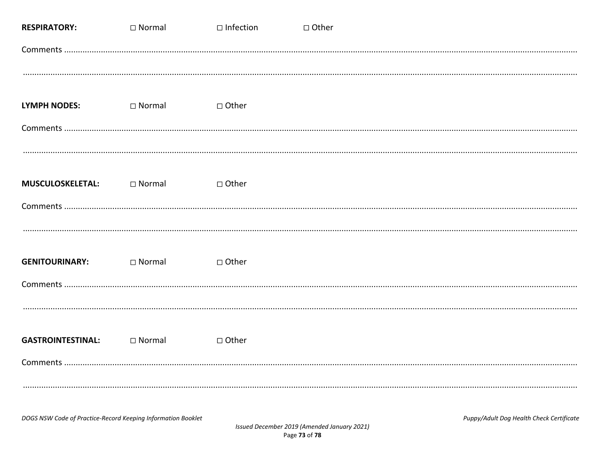| <b>RESPIRATORY:</b>                                          | $\Box$ Normal | $\Box$ Infection | □ Other                                                                                 |
|--------------------------------------------------------------|---------------|------------------|-----------------------------------------------------------------------------------------|
|                                                              |               |                  |                                                                                         |
| <b>LYMPH NODES:</b>                                          | $\Box$ Normal | □ Other          |                                                                                         |
| <b>MUSCULOSKELETAL:</b>                                      | $\Box$ Normal | □ Other          |                                                                                         |
| <b>GENITOURINARY:</b>                                        | $\Box$ Normal | □ Other          |                                                                                         |
| <b>GASTROINTESTINAL:</b>                                     | $\Box$ Normal | □ Other          |                                                                                         |
| DOGS NSW Code of Practice-Record Keeping Information Booklet |               |                  | Puppy/Adult Dog Health Check Certificate<br>Issued December 2019 (Amended January 2021) |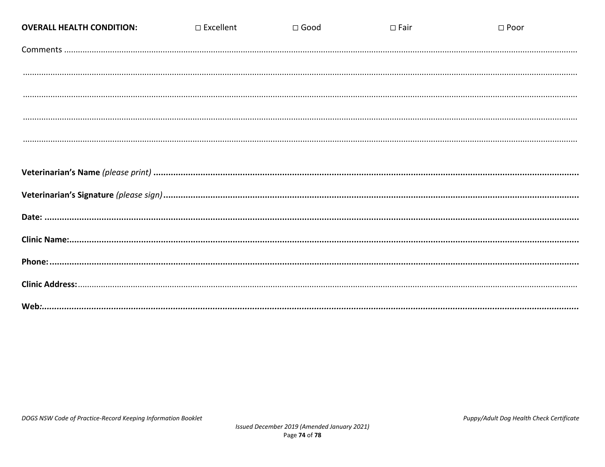| <b>OVERALL HEALTH CONDITION:</b> | $\Box$ Excellent | $\square$ Good | $\square$ Fair | $\Box$ Poor |
|----------------------------------|------------------|----------------|----------------|-------------|
|                                  |                  |                |                |             |
|                                  |                  |                |                |             |
|                                  |                  |                |                |             |
|                                  |                  |                |                |             |
|                                  |                  |                |                |             |
|                                  |                  |                |                |             |
|                                  |                  |                |                |             |
|                                  |                  |                |                |             |
|                                  |                  |                |                |             |
|                                  |                  |                |                |             |
|                                  |                  |                |                |             |
|                                  |                  |                |                |             |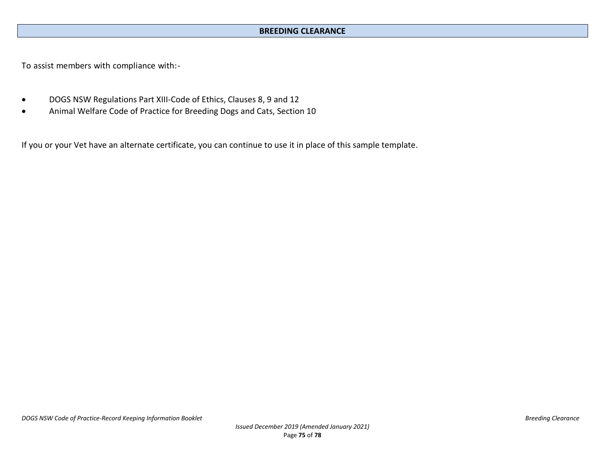## **BREEDING CLEARANCE**

To assist members with compliance with:-

- DOGS NSW Regulations Part XIII-Code of Ethics, Clauses 8, 9 and 12
- Animal Welfare Code of Practice for Breeding Dogs and Cats, Section 10

If you or your Vet have an alternate certificate, you can continue to use it in place of this sample template.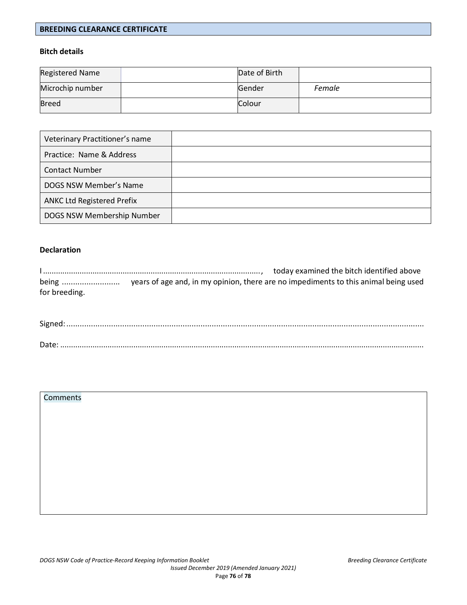#### **BREEDING CLEARANCE CERTIFICATE**

### **Bitch details**

| <b>Registered Name</b> | Date of Birth |        |
|------------------------|---------------|--------|
| Microchip number       | Gender        | Female |
| Breed                  | Colour        |        |

| Veterinary Practitioner's name    |  |
|-----------------------------------|--|
| Practice: Name & Address          |  |
| <b>Contact Number</b>             |  |
| DOGS NSW Member's Name            |  |
| <b>ANKC Ltd Registered Prefix</b> |  |
| DOGS NSW Membership Number        |  |

### **Declaration**

|               | today examined the bitch identified above                                           |
|---------------|-------------------------------------------------------------------------------------|
| being         | years of age and, in my opinion, there are no impediments to this animal being used |
| for breeding. |                                                                                     |

| Date: |  |
|-------|--|

### Comments